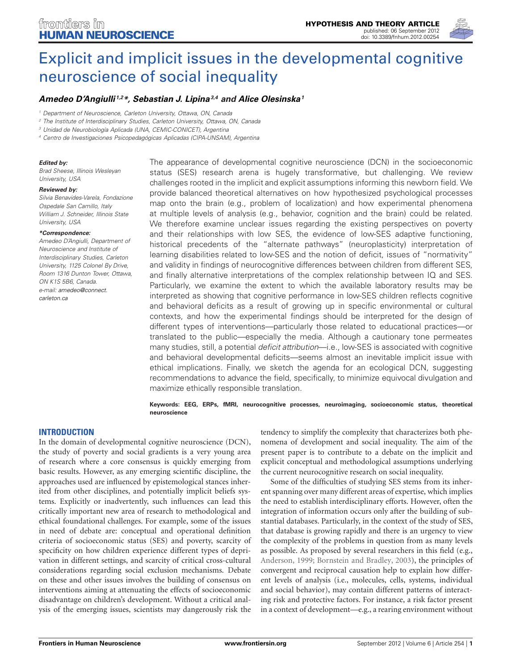

# [Explicit and implicit issues in the developmental cognitive](http://www.frontiersin.org/Human_Neuroscience/10.3389/fnhum.2012.00254/abstract) neuroscience of social inequality

# *[Amedeo D'Angiulli](http://www.frontiersin.org/Community/WhosWhoActivity.aspx?sname=AmedeoD) 1,2\*, [Sebastian J. Lipina3](http://www.frontiersin.org/Community/WhosWhoActivity.aspx?sname=SebastianLipina&UID=10495),4 and [Alice Olesinska](http://www.frontiersin.org/people/AliceOlesinska/66108/activity)1*

*<sup>1</sup> Department of Neuroscience, Carleton University, Ottawa, ON, Canada*

*<sup>2</sup> The Institute of Interdisciplinary Studies, Carleton University, Ottawa, ON, Canada*

*<sup>3</sup> Unidad de Neurobiología Aplicada (UNA, CEMIC-CONICET), Argentina*

*<sup>4</sup> Centro de Investigaciones Psicopedagógicas Aplicadas (CIPA-UNSAM), Argentina*

#### *Edited by:*

*Brad Sheese, Illinois Wesleyan University, USA*

#### *Reviewed by:*

*Silvia Benavides-Varela, Fondazione Ospedale San Camillo, Italy William J. Schneider, Illinois State University, USA*

#### *\*Correspondence:*

*Amedeo D'Angiulli, Department of Neuroscience and Institute of Interdisciplinary Studies, Carleton University, 1125 Colonel By Drive, Room 1316 Dunton Tower, Ottawa, ON K1S 5B6, Canada. e-mail: [amedeo@connect.](mailto:amedeo@connect.carleton.ca) [carleton.ca](mailto:amedeo@connect.carleton.ca)*

The appearance of developmental cognitive neuroscience (DCN) in the socioeconomic status (SES) research arena is hugely transformative, but challenging. We review challenges rooted in the implicit and explicit assumptions informing this newborn field. We provide balanced theoretical alternatives on how hypothesized psychological processes map onto the brain (e.g., problem of localization) and how experimental phenomena at multiple levels of analysis (e.g., behavior, cognition and the brain) could be related. We therefore examine unclear issues regarding the existing perspectives on poverty and their relationships with low SES, the evidence of low-SES adaptive functioning, historical precedents of the "alternate pathways" (neuroplasticity) interpretation of learning disabilities related to low-SES and the notion of deficit, issues of "normativity" and validity in findings of neurocognitive differences between children from different SES, and finally alternative interpretations of the complex relationship between IQ and SES. Particularly, we examine the extent to which the available laboratory results may be interpreted as showing that cognitive performance in low-SES children reflects cognitive and behavioral deficits as a result of growing up in specific environmental or cultural contexts, and how the experimental findings should be interpreted for the design of different types of interventions—particularly those related to educational practices—or translated to the public—especially the media. Although a cautionary tone permeates many studies, still, a potential *deficit attribution*—i.e., low-SES is associated with cognitive and behavioral developmental deficits—seems almost an inevitable implicit issue with ethical implications. Finally, we sketch the agenda for an ecological DCN, suggesting recommendations to advance the field, specifically, to minimize equivocal divulgation and maximize ethically responsible translation.

#### **Keywords: EEG, ERPs, fMRI, neurocognitive processes, neuroimaging, socioeconomic status, theoretical neuroscience**

#### **INTRODUCTION**

In the domain of developmental cognitive neuroscience (DCN), the study of poverty and social gradients is a very young area of research where a core consensus is quickly emerging from basic results. However, as any emerging scientific discipline, the approaches used are influenced by epistemological stances inherited from other disciplines, and potentially implicit beliefs systems. Explicitly or inadvertently, such influences can lead this critically important new area of research to methodological and ethical foundational challenges. For example, some of the issues in need of debate are: conceptual and operational definition criteria of socioeconomic status (SES) and poverty, scarcity of specificity on how children experience different types of deprivation in different settings, and scarcity of critical cross-cultural considerations regarding social exclusion mechanisms. Debate on these and other issues involves the building of consensus on interventions aiming at attenuating the effects of socioeconomic disadvantage on children's development. Without a critical analysis of the emerging issues, scientists may dangerously risk the

tendency to simplify the complexity that characterizes both phenomena of development and social inequality. The aim of the present paper is to contribute to a debate on the implicit and explicit conceptual and methodological assumptions underlying the current neurocognitive research on social inequality.

Some of the difficulties of studying SES stems from its inherent spanning over many different areas of expertise, which implies the need to establish interdisciplinary efforts. However, often the integration of information occurs only after the building of substantial databases. Particularly, in the context of the study of SES, that database is growing rapidly and there is an urgency to view the complexity of the problems in question from as many levels as possible. As proposed by several researchers in this field (e.g., [Anderson](#page-12-0), [1999;](#page-12-0) [Bornstein and Bradley, 2003](#page-12-1)), the principles of convergent and reciprocal causation help to explain how different levels of analysis (i.e., molecules, cells, systems, individual and social behavior), may contain different patterns of interacting risk and protective factors. For instance, a risk factor present in a context of development—e.g., a rearing environment without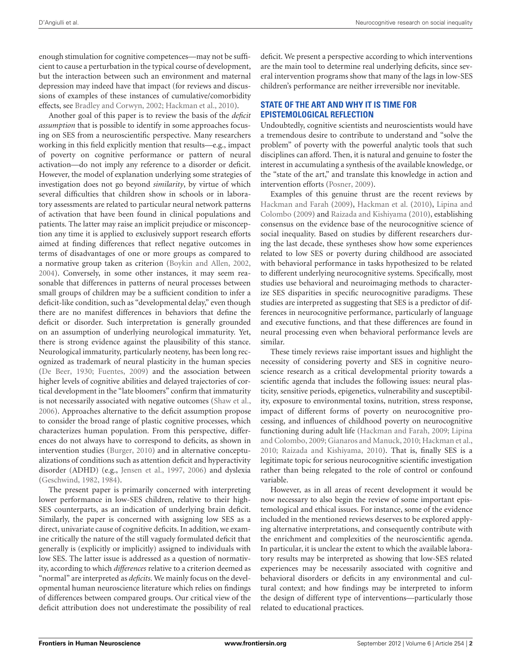enough stimulation for cognitive competences—may not be sufficient to cause a perturbation in the typical course of development, but the interaction between such an environment and maternal depression may indeed have that impact (for reviews and discussions of examples of these instances of cumulative/comorbidity effects, see [Bradley and Corwyn](#page-13-0), [2002](#page-13-0); [Hackman et al., 2010](#page-14-0)).

Another goal of this paper is to review the basis of the *deficit assumption* that is possible to identify in some approaches focusing on SES from a neuroscientific perspective. Many researchers working in this field explicitly mention that results—e.g., impact of poverty on cognitive performance or pattern of neural activation—do not imply any reference to a disorder or deficit. However, the model of explanation underlying some strategies of investigation does not go beyond *similarity*, by virtue of which several difficulties that children show in schools or in laboratory assessments are related to particular neural network patterns of activation that have been found in clinical populations and patients. The latter may raise an implicit prejudice or misconception any time it is applied to exclusively support research efforts aimed at finding differences that reflect negative outcomes in terms of disadvantages of one or more groups as compared to a normative group taken as criterion [\(Boykin and Allen, 2002,](#page-12-2) [2004](#page-13-1)). Conversely, in some other instances, it may seem reasonable that differences in patterns of neural processes between small groups of children may be a sufficient condition to infer a deficit-like condition, such as "developmental delay," even though there are no manifest differences in behaviors that define the deficit or disorder. Such interpretation is generally grounded on an assumption of underlying neurological immaturity. Yet, there is strong evidence against the plausibility of this stance. Neurological immaturity, particularly neoteny, has been long recognized as trademark of neural plasticity in the human species [\(De Beer](#page-13-2), [1930;](#page-13-2) [Fuentes](#page-14-1), [2009\)](#page-14-1) and the association between higher levels of cognitive abilities and delayed trajectories of cortical development in the "late bloomers" confirm that immaturity is not necessarily associated with negative outcomes [\(Shaw et al.,](#page-15-0) [2006](#page-15-0)). Approaches alternative to the deficit assumption propose to consider the broad range of plastic cognitive processes, which characterizes human population. From this perspective, differences do not always have to correspond to deficits, as shown in intervention studies [\(Burger, 2010\)](#page-13-3) and in alternative conceptualizations of conditions such as attention deficit and hyperactivity disorder (ADHD) (e.g., [Jensen et al.](#page-14-2), [1997](#page-14-2), [2006\)](#page-14-3) and dyslexia [\(Geschwind, 1982](#page-14-4), [1984](#page-14-5)).

The present paper is primarily concerned with interpreting lower performance in low-SES children, relative to their high-SES counterparts, as an indication of underlying brain deficit. Similarly, the paper is concerned with assigning low SES as a direct, univariate cause of cognitive deficits. In addition, we examine critically the nature of the still vaguely formulated deficit that generally is (explicitly or implicitly) assigned to individuals with low SES. The latter issue is addressed as a question of normativity, according to which *differences* relative to a criterion deemed as "normal" are interpreted as *deficits*. We mainly focus on the developmental human neuroscience literature which relies on findings of differences between compared groups. Our critical view of the deficit attribution does not underestimate the possibility of real

deficit. We present a perspective according to which interventions are the main tool to determine real underlying deficits, since several intervention programs show that many of the lags in low-SES children's performance are neither irreversible nor inevitable.

# **STATE OF THE ART AND WHY IT IS TIME FOR EPISTEMOLOGICAL REFLECTION**

Undoubtedly, cognitive scientists and neuroscientists would have a tremendous desire to contribute to understand and "solve the problem" of poverty with the powerful analytic tools that such disciplines can afford. Then, it is natural and genuine to foster the interest in accumulating a synthesis of the available knowledge, or the "state of the art," and translate this knowledge in action and intervention efforts [\(Posner](#page-15-1), [2009\)](#page-15-1).

Examples of this genuine thrust are the recent reviews by [Hackman and Farah](#page-14-6) [\(2009\)](#page-14-6), [Hackman et al.](#page-14-0) [\(2010](#page-14-0)), Lipina and Colombo [\(2009\)](#page-14-7) and [Raizada and Kishiyama](#page-15-2) [\(2010](#page-15-2)), establishing consensus on the evidence base of the neurocognitive science of social inequality. Based on studies by different researchers during the last decade, these syntheses show how some experiences related to low SES or poverty during childhood are associated with behavioral performance in tasks hypothesized to be related to different underlying neurocognitive systems. Specifically, most studies use behavioral and neuroimaging methods to characterize SES disparities in specific neurocognitive paradigms. These studies are interpreted as suggesting that SES is a predictor of differences in neurocognitive performance, particularly of language and executive functions, and that these differences are found in neural processing even when behavioral performance levels are similar.

These timely reviews raise important issues and highlight the necessity of considering poverty and SES in cognitive neuroscience research as a critical developmental priority towards a scientific agenda that includes the following issues: neural plasticity, sensitive periods, epigenetics, vulnerability and susceptibility, exposure to environmental toxins, nutrition, stress response, impact of different forms of poverty on neurocognitive processing, and influences of childhood poverty on neurocognitive functioning [during](#page-14-7) [adult](#page-14-7) [life](#page-14-7) [\(Hackman and Farah](#page-14-6)[,](#page-14-7) [2009](#page-14-6)[;](#page-14-7) Lipina and Colombo, [2009](#page-14-7); [Gianaros and Manuck, 2010](#page-14-8); [Hackman et al.,](#page-14-0) [2010](#page-14-0); [Raizada and Kishiyama](#page-15-2), [2010\)](#page-15-2). That is, finally SES is a legitimate topic for serious neurocognitive scientific investigation rather than being relegated to the role of control or confound variable.

However, as in all areas of recent development it would be now necessary to also begin the review of some important epistemological and ethical issues. For instance, some of the evidence included in the mentioned reviews deserves to be explored applying alternative interpretations, and consequently contribute with the enrichment and complexities of the neuroscientific agenda. In particular, it is unclear the extent to which the available laboratory results may be interpreted as showing that low-SES related experiences may be necessarily associated with cognitive and behavioral disorders or deficits in any environmental and cultural context; and how findings may be interpreted to inform the design of different type of interventions—particularly those related to educational practices.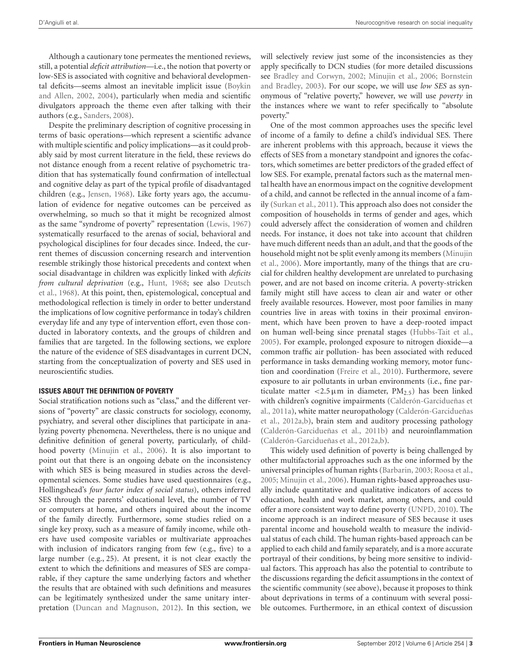Although a cautionary tone permeates the mentioned reviews, still, a potential *deficit attribution*—i.e., the notion that poverty or low-SES is associated with cognitive and behavioral developmental deficit[s—seems](#page-12-2) [almost](#page-12-2) [an](#page-12-2) [inevitable](#page-12-2) [implicit](#page-12-2) [issue](#page-12-2) [\(](#page-12-2)Boykin and Allen, [2002](#page-12-2), [2004\)](#page-13-1), particularly when media and scientific divulgators approach the theme even after talking with their authors (e.g., [Sanders](#page-15-3), [2008\)](#page-15-3).

Despite the preliminary description of cognitive processing in terms of basic operations—which represent a scientific advance with multiple scientific and policy implications—as it could probably said by most current literature in the field, these reviews do not distance enough from a recent relative of psychometric tradition that has systematically found confirmation of intellectual and cognitive delay as part of the typical profile of disadvantaged children (e.g., [Jensen, 1968\)](#page-14-9). Like forty years ago, the accumulation of evidence for negative outcomes can be perceived as overwhelming, so much so that it might be recognized almost as the same "syndrome of poverty" representation [\(Lewis](#page-14-10), [1967](#page-14-10)) systematically resurfaced to the arenas of social, behavioral and psychological disciplines for four decades since. Indeed, the current themes of discussion concerning research and intervention resemble strikingly those historical precedents and context when social disadvantage in children was explicitly linked with *deficits from cultural deprivation* (e.g., [Hunt](#page-14-11)[,](#page-13-4) [1968;](#page-14-11) [see also](#page-13-4) Deutsch et al., [1968](#page-13-4)). At this point, then, epistemological, conceptual and methodological reflection is timely in order to better understand the implications of low cognitive performance in today's children everyday life and any type of intervention effort, even those conducted in laboratory contexts, and the groups of children and families that are targeted. In the following sections, we explore the nature of the evidence of SES disadvantages in current DCN, starting from the conceptualization of poverty and SES used in neuroscientific studies.

#### **ISSUES ABOUT THE DEFINITION OF POVERTY**

Social stratification notions such as "class," and the different versions of "poverty" are classic constructs for sociology, economy, psychiatry, and several other disciplines that participate in analyzing poverty phenomena. Nevertheless, there is no unique and definitive definition of general poverty, particularly, of childhood poverty [\(Minujin et al., 2006\)](#page-15-4). It is also important to point out that there is an ongoing debate on the inconsistency with which SES is being measured in studies across the developmental sciences. Some studies have used questionnaires (e.g., Hollingshead's *four factor index of social status*), others inferred SES through the parents' educational level, the number of TV or computers at home, and others inquired about the income of the family directly. Furthermore, some studies relied on a single key proxy, such as a measure of family income, while others have used composite variables or multivariate approaches with inclusion of indicators ranging from few (e.g., five) to a large number (e.g., 25). At present, it is not clear exactly the extent to which the definitions and measures of SES are comparable, if they capture the same underlying factors and whether the results that are obtained with such definitions and measures can be legitimately synthesized under the same unitary interpretation [\(Duncan and Magnuson](#page-13-5), [2012](#page-13-5)). In this section, we

will selectively review just some of the inconsistencies as they apply specifically to DCN studies (for more detailed discussions see [Bradley and Corwyn](#page-13-0)[,](#page-12-1) [2002](#page-13-0)[;](#page-12-1) [Minujin et al.](#page-15-4)[,](#page-12-1) [2006](#page-15-4)[;](#page-12-1) Bornstein and Bradley, [2003\)](#page-12-1). For our scope, we will use *low SES* as synonymous of "relative poverty," however, we will use *poverty* in the instances where we want to refer specifically to "absolute poverty."

One of the most common approaches uses the specific level of income of a family to define a child's individual SES. There are inherent problems with this approach, because it views the effects of SES from a monetary standpoint and ignores the cofactors, which sometimes are better predictors of the graded effect of low SES. For example, prenatal factors such as the maternal mental health have an enormous impact on the cognitive development of a child, and cannot be reflected in the annual income of a family [\(Surkan et al.](#page-15-5), [2011\)](#page-15-5). This approach also does not consider the composition of households in terms of gender and ages, which could adversely affect the consideration of women and children needs. For instance, it does not take into account that children have much different needs than an adult, and that the goods of the hous[ehold might not be split evenly among its members \(](#page-15-4)Minujin et al., [2006\)](#page-15-4). More importantly, many of the things that are crucial for children healthy development are unrelated to purchasing power, and are not based on income criteria. A poverty-stricken family might still have access to clean air and water or other freely available resources. However, most poor families in many countries live in areas with toxins in their proximal environment, which have been proven to have a deep-rooted impact on human well-being since prenatal stages [\(Hubbs-Tait et al.,](#page-14-12) [2005](#page-14-12)). For example, prolonged exposure to nitrogen dioxide—a common traffic air pollution- has been associated with reduced performance in tasks demanding working memory, motor function and coordination [\(Freire et al., 2010](#page-13-6)). Furthermore, severe exposure to air pollutants in urban environments (i.e., fine particulate matter  $\langle 2.5 \mu \text{m} \rangle$  in diameter,  $\text{PM}_{2.5}$ ) has been linked w[ith children's cognitive impairments \(](#page-13-7)Calderón-Garcidueñas et al., [2011a](#page-13-7)[\),](#page-13-8) [white](#page-13-8) [matter](#page-13-8) [neuropathology](#page-13-8) [\(](#page-13-8)Calderón-Garcidueñas et al., [2012a](#page-13-8)[,b](#page-13-9)), brain stem and auditory processing pathology [\(Calderón-Garcidueñas et al., 2011b\)](#page-13-10) and neuroinflammation [\(Calderón-Garcidueñas et al., 2012a](#page-13-8)[,b\)](#page-13-9).

This widely used definition of poverty is being challenged by other multifactorial approaches such as the one informed by the universal principles of human rights [\(Barbarin](#page-12-3), [2003;](#page-12-3) [Roosa et al.,](#page-15-6) [2005](#page-15-6); [Minujin et al.](#page-15-4), [2006\)](#page-15-4). Human rights-based approaches usually include quantitative and qualitative indicators of access to education, health and work market, among others, and could offer a more consistent way to define poverty [\(UNPD, 2010](#page-16-0)). The income approach is an indirect measure of SES because it uses parental income and household wealth to measure the individual status of each child. The human rights-based approach can be applied to each child and family separately, and is a more accurate portrayal of their conditions, by being more sensitive to individual factors. This approach has also the potential to contribute to the discussions regarding the deficit assumptions in the context of the scientific community (see above), because it proposes to think about deprivations in terms of a continuum with several possible outcomes. Furthermore, in an ethical context of discussion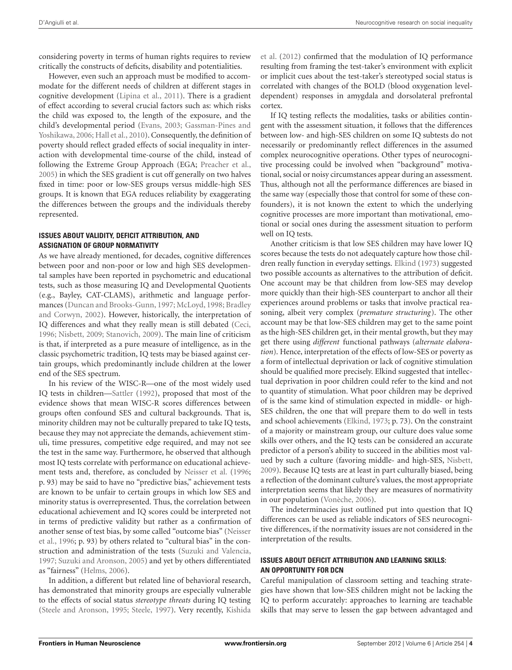considering poverty in terms of human rights requires to review critically the constructs of deficits, disability and potentialities.

However, even such an approach must be modified to accommodate for the different needs of children at different stages in cognitive development [\(Lipina et al., 2011](#page-14-13)). There is a gradient of effect according to several crucial factors such as: which risks the child was exposed to, the length of the exposure, and the child's de[velopmental period](#page-14-14) [\(Evans](#page-13-11)[,](#page-14-14) [2003](#page-13-11)[;](#page-14-14) Gassman-Pines and Yoshikawa, [2006;](#page-14-14) [Hall et al.](#page-14-15), [2010](#page-14-15)). Consequently, the definition of poverty should reflect graded effects of social inequality in interaction with developmental time-course of the child, instead of following the Extreme Group Approach (EGA; [Preacher et al.,](#page-15-7) [2005](#page-15-7)) in which the SES gradient is cut off generally on two halves fixed in time: poor or low-SES groups versus middle-high SES groups. It is known that EGA reduces reliability by exaggerating the differences between the groups and the individuals thereby represented.

## **ISSUES ABOUT VALIDITY, DEFICIT ATTRIBUTION, AND ASSIGNATION OF GROUP NORMATIVITY**

As we have already mentioned, for decades, cognitive differences between poor and non-poor or low and high SES developmental samples have been reported in psychometric and educational tests, such as those measuring IQ and Developmental Quotients (e.g., Bayley, CAT-CLAMS), arithmetic and language performances [\(Duncan and Brooks-Gunn](#page-13-12)[,](#page-13-0) [1997;](#page-13-12) [McLoyd](#page-15-8)[,](#page-13-0) [1998](#page-15-8)[;](#page-13-0) Bradley and Corwyn, [2002](#page-13-0)). However, historically, the interpretation of IQ differences and what they really mean is still debated [\(Ceci](#page-13-13), [1996](#page-13-13); [Nisbett, 2009;](#page-15-9) [Stanovich, 2009](#page-15-10)). The main line of criticism is that, if interpreted as a pure measure of intelligence, as in the classic psychometric tradition, IQ tests may be biased against certain groups, which predominantly include children at the lower end of the SES spectrum.

In his review of the WISC-R—one of the most widely used IQ tests in children[—Sattler](#page-15-11) [\(1992\)](#page-15-11), proposed that most of the evidence shows that mean WISC-R scores differences between groups often confound SES and cultural backgrounds. That is, minority children may not be culturally prepared to take IQ tests, because they may not appreciate the demands, achievement stimuli, time pressures, competitive edge required, and may not see the test in the same way. Furthermore, he observed that although most IQ tests correlate with performance on educational achievement tests and, therefore, as concluded by [Neisser et al.](#page-15-12) [\(1996;](#page-15-12) p. 93) may be said to have no "predictive bias," achievement tests are known to be unfair to certain groups in which low SES and minority status is overrepresented. Thus, the correlation between educational achievement and IQ scores could be interpreted not in terms of predictive validity but rather as a confirmation of anot[her](#page-15-12) [sense](#page-15-12) [of](#page-15-12) [test](#page-15-12) [bias,](#page-15-12) [by](#page-15-12) [some](#page-15-12) [called](#page-15-12) ["outcome](#page-15-12) [bias"](#page-15-12) [\(](#page-15-12)Neisser et al., [1996](#page-15-12); p. 93) by others related to "cultural bias" in the construction and administration of the tests [\(Suzuki and Valencia,](#page-16-1) [1997](#page-16-1); [Suzuki and Aronson](#page-15-13), [2005](#page-15-13)) and yet by others differentiated as "fairness" [\(Helms, 2006\)](#page-14-16).

In addition, a different but related line of behavioral research, has demonstrated that minority groups are especially vulnerable to the effects of social status *stereotype threats* during IQ testing [\(Steele and Aronson](#page-15-14), [1995;](#page-15-14) [Steele, 1997\)](#page-15-15). Very recently, Kishida

et al. [\(2012\)](#page-14-17) confirmed that the modulation of IQ performance resulting from framing the test-taker's environment with explicit or implicit cues about the test-taker's stereotyped social status is correlated with changes of the BOLD (blood oxygenation leveldependent) responses in amygdala and dorsolateral prefrontal cortex.

If IQ testing reflects the modalities, tasks or abilities contingent with the assessment situation, it follows that the differences between low- and high-SES children on some IQ subtests do not necessarily or predominantly reflect differences in the assumed complex neurocognitive operations. Other types of neurocognitive processing could be involved when "background" motivational, social or noisy circumstances appear during an assessment. Thus, although not all the performance differences are biased in the same way (especially those that control for some of these confounders), it is not known the extent to which the underlying cognitive processes are more important than motivational, emotional or social ones during the assessment situation to perform well on IQ tests.

Another criticism is that low SES children may have lower IQ scores because the tests do not adequately capture how those children really function in everyday settings. [Elkind](#page-13-14) [\(1973\)](#page-13-14) suggested two possible accounts as alternatives to the attribution of deficit. One account may be that children from low-SES may develop more quickly than their high-SES counterpart to anchor all their experiences around problems or tasks that involve practical reasoning, albeit very complex (*premature structuring*). The other account may be that low-SES children may get to the same point as the high-SES children get, in their mental growth, but they may get there using *different* functional pathways (*alternate elaboration*). Hence, interpretation of the effects of low-SES or poverty as a form of intellectual deprivation or lack of cognitive stimulation should be qualified more precisely. Elkind suggested that intellectual deprivation in poor children could refer to the kind and not to quantity of stimulation. What poor children may be deprived of is the same kind of stimulation expected in middle- or high-SES children, the one that will prepare them to do well in tests and school achievements [\(Elkind](#page-13-14), [1973](#page-13-14); p. 73). On the constraint of a majority or mainstream group, our culture does value some skills over others, and the IQ tests can be considered an accurate predictor of a person's ability to succeed in the abilities most valued by such a culture (favoring middle- and high-SES, [Nisbett](#page-15-9), [2009](#page-15-9)). Because IQ tests are at least in part culturally biased, being a reflection of the dominant culture's values, the most appropriate interpretation seems that likely they are measures of normativity in our population [\(Vonèche, 2006\)](#page-16-2).

The indeterminacies just outlined put into question that IQ differences can be used as reliable indicators of SES neurocognitive differences, if the normativity issues are not considered in the interpretation of the results.

# **ISSUES ABOUT DEFICIT ATTRIBUTION AND LEARNING SKILLS: AN OPPORTUNITY FOR DCN**

Careful manipulation of classroom setting and teaching strategies have shown that low-SES children might not be lacking the IQ to perform accurately: approaches to learning are teachable skills that may serve to lessen the gap between advantaged and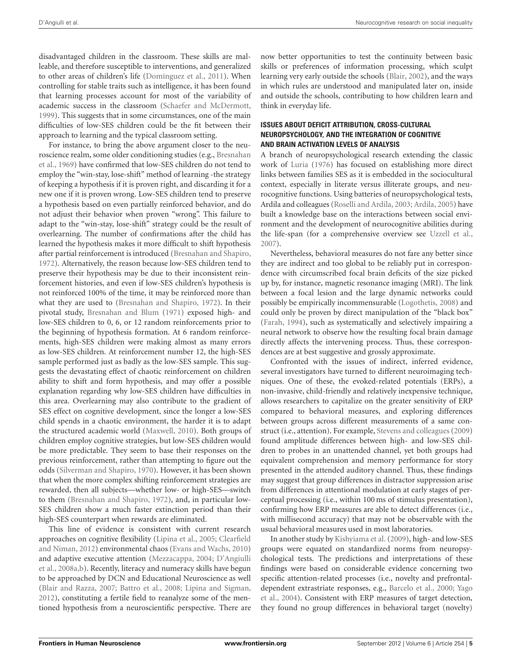disadvantaged children in the classroom. These skills are malleable, and therefore susceptible to interventions, and generalized to other areas of children's life [\(Domínguez et al.](#page-13-15), [2011](#page-13-15)). When controlling for stable traits such as intelligence, it has been found that learning processes account for most of the variability of academic success in the classroom [\(Schaefer and McDermott,](#page-15-16) [1999](#page-15-16)). This suggests that in some circumstances, one of the main difficulties of low-SES children could be the fit between their approach to learning and the typical classroom setting.

For instance, to bring the above argument closer to the neurosc[ience realm, some older conditioning studies \(e.g.,](#page-13-16) Bresnahan et al., [1969\)](#page-13-16) have confirmed that low-SES children do not tend to employ the "win-stay, lose-shift" method of learning -the strategy of keeping a hypothesis if it is proven right, and discarding it for a new one if it is proven wrong. Low-SES children tend to preserve a hypothesis based on even partially reinforced behavior, and do not adjust their behavior when proven "wrong". This failure to adapt to the "win-stay, lose-shift" strategy could be the result of overlearning. The number of confirmations after the child has learned the hypothesis makes it more difficult to shift hypothesis after partial reinforcement is introduced [\(Bresnahan and Shapiro,](#page-13-17) [1972](#page-13-17)). Alternatively, the reason because low-SES children tend to preserve their hypothesis may be due to their inconsistent reinforcement histories, and even if low-SES children's hypothesis is not reinforced 100% of the time, it may be reinforced more than what they are used to [\(Bresnahan and Shapiro, 1972\)](#page-13-17). In their pivotal study, [Bresnahan and Blum](#page-13-18) [\(1971\)](#page-13-18) exposed high- and low-SES children to 0, 6, or 12 random reinforcements prior to the beginning of hypothesis formation. At 6 random reinforcements, high-SES children were making almost as many errors as low-SES children. At reinforcement number 12, the high-SES sample performed just as badly as the low-SES sample. This suggests the devastating effect of chaotic reinforcement on children ability to shift and form hypothesis, and may offer a possible explanation regarding why low-SES children have difficulties in this area. Overlearning may also contribute to the gradient of SES effect on cognitive development, since the longer a low-SES child spends in a chaotic environment, the harder it is to adapt the structured academic world [\(Maxwell, 2010\)](#page-15-17). Both groups of children employ cognitive strategies, but low-SES children would be more predictable. They seem to base their responses on the previous reinforcement, rather than attempting to figure out the odds [\(Silverman and Shapiro, 1970](#page-15-18)). However, it has been shown that when the more complex shifting reinforcement strategies are rewarded, then all subjects—whether low- or high-SES—switch to them [\(Bresnahan and Shapiro](#page-13-17), [1972](#page-13-17)), and, in particular low-SES children show a much faster extinction period than their high-SES counterpart when rewards are eliminated.

This line of evidence is consistent with current research approache[s](#page-13-19) [on](#page-13-19) [cognitive](#page-13-19) [flexibility](#page-13-19) [\(Lipina et al.](#page-14-18)[,](#page-13-19) [2005](#page-14-18)[;](#page-13-19) Clearfield and Niman, [2012\)](#page-13-19) environmental chaos [\(Evans and Wachs, 2010](#page-13-20)) and [adaptive](#page-13-21) [executive](#page-13-21) [attention](#page-13-21) [\(Mezzacappa, 2004;](#page-15-19) D'Angiulli et al., [2008a](#page-13-21)[,b](#page-13-22)). Recently, literacy and numeracy skills have begun to be approached by DCN and Educational Neuroscience as well [\(Blair and Razza](#page-12-4), [2007;](#page-12-4) [Battro et al., 2008;](#page-12-5) [Lipina and Sigman,](#page-14-19) [2012](#page-14-19)), constituting a fertile field to reanalyze some of the mentioned hypothesis from a neuroscientific perspective. There are

now better opportunities to test the continuity between basic skills or preferences of information processing, which sculpt learning very early outside the schools [\(Blair, 2002](#page-12-6)), and the ways in which rules are understood and manipulated later on, inside and outside the schools, contributing to how children learn and think in everyday life.

### **ISSUES ABOUT DEFICIT ATTRIBUTION, CROSS-CULTURAL NEUROPSYCHOLOGY, AND THE INTEGRATION OF COGNITIVE AND BRAIN ACTIVATION LEVELS OF ANALYSIS**

A branch of neuropsychological research extending the classic work of [Luria](#page-14-20) [\(1976](#page-14-20)) has focused on establishing more direct links between families SES as it is embedded in the sociocultural context, especially in literate versus illiterate groups, and neurocognitive functions. Using batteries of neuropsychological tests, Ardila and colleagues [\(Roselli and Ardila](#page-15-20), [2003](#page-15-20); [Ardila](#page-12-7), [2005](#page-12-7)) have built a knowledge base on the interactions between social environment and the development of neurocognitive abilities during the life-span (for a comprehensive overview see [Uzzell et al.,](#page-16-3) [2007](#page-16-3)).

Nevertheless, behavioral measures do not fare any better since they are indirect and too global to be reliably put in correspondence with circumscribed focal brain deficits of the size picked up by, for instance, magnetic resonance imaging (MRI). The link between a focal lesion and the large dynamic networks could possibly be empirically incommensurable [\(Logothetis, 2008\)](#page-14-21) and could only be proven by direct manipulation of the "black box" [\(Farah](#page-13-23), [1994\)](#page-13-23), such as systematically and selectively impairing a neural network to observe how the resulting focal brain damage directly affects the intervening process. Thus, these correspondences are at best suggestive and grossly approximate.

Confronted with the issues of indirect, inferred evidence, several investigators have turned to different neuroimaging techniques. One of these, the evoked-related potentials (ERPs), a non-invasive, child-friendly and relatively inexpensive technique, allows researchers to capitalize on the greater sensitivity of ERP compared to behavioral measures, and exploring differences between groups across different measurements of a same construct (i.e., attention). For example, [Stevens and colleagues](#page-15-21) [\(2009](#page-15-21)) found amplitude differences between high- and low-SES children to probes in an unattended channel, yet both groups had equivalent comprehension and memory performance for story presented in the attended auditory channel. Thus, these findings may suggest that group differences in distractor suppression arise from differences in attentional modulation at early stages of perceptual processing (i.e., within 100 ms of stimulus presentation), confirming how ERP measures are able to detect differences (i.e., with millisecond accuracy) that may not be observable with the usual behavioral measures used in most laboratories.

In another study by [Kishyiama et al.](#page-14-22) [\(2009](#page-14-22)), high- and low-SES groups were equated on standardized norms from neuropsychological tests. The predictions and interpretations of these findings were based on considerable evidence concerning two specific attention-related processes (i.e., novelty and prefrontaldepe[ndent extrastriate responses, e.g.,](#page-16-4) [Barcelo et al., 2000](#page-12-8); Yago et al., [2004\)](#page-16-4). Consistent with ERP measures of target detection, they found no group differences in behavioral target (novelty)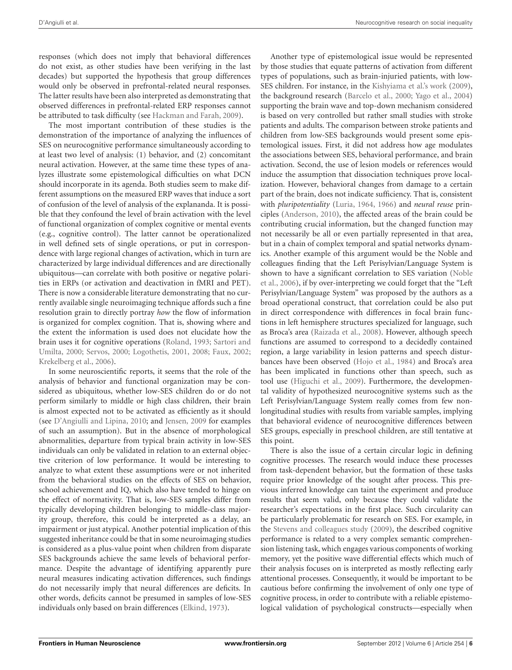responses (which does not imply that behavioral differences do not exist, as other studies have been verifying in the last decades) but supported the hypothesis that group differences would only be observed in prefrontal-related neural responses. The latter results have been also interpreted as demonstrating that observed differences in prefrontal-related ERP responses cannot be attributed to task difficulty (see [Hackman and Farah, 2009](#page-14-6)).

The most important contribution of these studies is the demonstration of the importance of analyzing the influences of SES on neurocognitive performance simultaneously according to at least two level of analysis: (1) behavior, and (2) concomitant neural activation. However, at the same time these types of analyzes illustrate some epistemological difficulties on what DCN should incorporate in its agenda. Both studies seem to make different assumptions on the measured ERP waves that induce a sort of confusion of the level of analysis of the explananda. It is possible that they confound the level of brain activation with the level of functional organization of complex cognitive or mental events (e.g., cognitive control). The latter cannot be operationalized in well defined sets of single operations, or put in correspondence with large regional changes of activation, which in turn are characterized by large individual differences and are directionally ubiquitous—can correlate with both positive or negative polarities in ERPs (or activation and deactivation in fMRI and PET). There is now a considerable literature demonstrating that no currently available single neuroimaging technique affords such a fine resolution grain to directly portray *how* the flow of information is organized for complex cognition. That is, showing where and the extent the information is used does not elucidate how the brain [uses it for cognitive operations \(](#page-15-23)[Roland](#page-15-22)[,](#page-15-23) [1993](#page-15-22)[;](#page-15-23) Sartori and Umilta, [2000](#page-15-23); [Servos](#page-15-24), [2000;](#page-15-24) [Logothetis](#page-14-23), [2001](#page-14-23), [2008;](#page-14-21) [Faux, 2002;](#page-13-24) [Krekelberg et al.](#page-14-24), [2006](#page-14-24)).

In some neuroscientific reports, it seems that the role of the analysis of behavior and functional organization may be considered as ubiquitous, whether low-SES children do or do not perform similarly to middle or high class children, their brain is almost expected not to be activated as efficiently as it should (see [D'Angiulli and Lipina, 2010](#page-13-25); and [Jensen, 2009](#page-14-25) for examples of such an assumption). But in the absence of morphological abnormalities, departure from typical brain activity in low-SES individuals can only be validated in relation to an external objective criterion of low performance. It would be interesting to analyze to what extent these assumptions were or not inherited from the behavioral studies on the effects of SES on behavior, school achievement and IQ, which also have tended to hinge on the effect of normativity. That is, low-SES samples differ from typically developing children belonging to middle-class majority group, therefore, this could be interpreted as a delay, an impairment or just atypical. Another potential implication of this suggested inheritance could be that in some neuroimaging studies is considered as a plus-value point when children from disparate SES backgrounds achieve the same levels of behavioral performance. Despite the advantage of identifying apparently pure neural measures indicating activation differences, such findings do not necessarily imply that neural differences are deficits. In other words, deficits cannot be presumed in samples of low-SES individuals only based on brain differences [\(Elkind](#page-13-14), [1973](#page-13-14)).

Another type of epistemological issue would be represented by those studies that equate patterns of activation from different types of populations, such as brain-injuried patients, with low-SES children. For instance, in the [Kishyiama et al.'s work](#page-14-22) [\(2009\)](#page-14-22), the background research [\(Barcelo et al.](#page-12-8), [2000;](#page-12-8) [Yago et al., 2004](#page-16-4)) supporting the brain wave and top-down mechanism considered is based on very controlled but rather small studies with stroke patients and adults. The comparison between stroke patients and children from low-SES backgrounds would present some epistemological issues. First, it did not address how age modulates the associations between SES, behavioral performance, and brain activation. Second, the use of lesion models or references would induce the assumption that dissociation techniques prove localization. However, behavioral changes from damage to a certain part of the brain, does not indicate sufficiency. That is, consistent with *pluripotentiality* [\(Luria, 1964](#page-14-26), [1966\)](#page-14-27) and *neural reuse* principles [\(Anderson, 2010](#page-12-9)), the affected areas of the brain could be contributing crucial information, but the changed function may not necessarily be all or even partially represented in that area, but in a chain of complex temporal and spatial networks dynamics. Another example of this argument would be the Noble and colleagues finding that the Left Perisylvian/Language System is sho[wn to have a significant correlation to SES variation \(](#page-15-25)Noble et al., [2006\)](#page-15-25), if by over-interpreting we could forget that the "Left Perisylvian/Language System" was proposed by the authors as a broad operational construct, that correlation could be also put in direct correspondence with differences in focal brain functions in left hemisphere structures specialized for language, such as Broca's area [\(Raizada et al., 2008\)](#page-15-26). However, although speech functions are assumed to correspond to a decidedly contained region, a large variability in lesion patterns and speech disturbances have been observed [\(Hojo et al.](#page-14-28), [1984\)](#page-14-28) and Broca's area has been implicated in functions other than speech, such as tool use [\(Higuchi et al.](#page-14-29), [2009\)](#page-14-29). Furthermore, the developmental validity of hypothesized neurocognitive systems such as the Left Perisylvian/Language System really comes from few nonlongitudinal studies with results from variable samples, implying that behavioral evidence of neurocognitive differences between SES groups, especially in preschool children, are still tentative at this point.

There is also the issue of a certain circular logic in defining cognitive processes. The research would induce these processes from task-dependent behavior, but the formation of these tasks require prior knowledge of the sought after process. This previous inferred knowledge can taint the experiment and produce results that seem valid, only because they could validate the researcher's expectations in the first place. Such circularity can be particularly problematic for research on SES. For example, in the [Stevens and colleagues](#page-15-21) study [\(2009\)](#page-15-21), the described cognitive performance is related to a very complex semantic comprehension listening task, which engages various components of working memory, yet the positive wave differential effects which much of their analysis focuses on is interpreted as mostly reflecting early attentional processes. Consequently, it would be important to be cautious before confirming the involvement of only one type of cognitive process, in order to contribute with a reliable epistemological validation of psychological constructs—especially when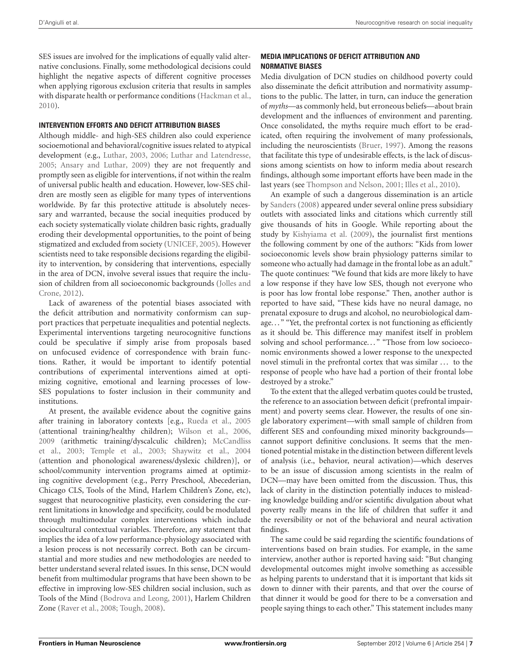SES issues are involved for the implications of equally valid alternative conclusions. Finally, some methodological decisions could highlight the negative aspects of different cognitive processes when applying rigorous exclusion criteria that results in samples with disparate health or performance conditions [\(Hackman et al.,](#page-14-0) [2010](#page-14-0)).

## **INTERVENTION EFFORTS AND DEFICIT ATTRIBUTION BIASES**

Although middle- and high-SES children also could experience socioemotional and behavioral/cognitive issues related to atypical development (e.g., [Luthar, 2003](#page-15-27), [2006](#page-14-30); [Luthar and Latendresse](#page-14-31), [2005](#page-14-31); [Ansary and Luthar](#page-12-10), [2009](#page-12-10)) they are not frequently and promptly seen as eligible for interventions, if not within the realm of universal public health and education. However, low-SES children are mostly seen as eligible for many types of interventions worldwide. By far this protective attitude is absolutely necessary and warranted, because the social inequities produced by each society systematically violate children basic rights, gradually eroding their developmental opportunities, to the point of being stigmatized and excluded from society [\(UNICEF, 2005](#page-16-5)). However scientists need to take responsible decisions regarding the eligibility to intervention, by considering that interventions, especially in the area of DCN, involve several issues that require the inclusion o[f children from all socioeconomic backgrounds \(](#page-14-32)Jolles and Crone, [2012\)](#page-14-32).

Lack of awareness of the potential biases associated with the deficit attribution and normativity conformism can support practices that perpetuate inequalities and potential neglects. Experimental interventions targeting neurocognitive functions could be speculative if simply arise from proposals based on unfocused evidence of correspondence with brain functions. Rather, it would be important to identify potential contributions of experimental interventions aimed at optimizing cognitive, emotional and learning processes of low-SES populations to foster inclusion in their community and institutions.

At present, the available evidence about the cognitive gains after training in laboratory contexts [e.g., [Rueda et al., 2005](#page-15-28) (attentional training/healthy children); [Wilson et al., 2006,](#page-16-6) [2009](#page-16-7) [\(arithmetic](#page-15-29) [training/dyscalculic](#page-15-29) [children\);](#page-15-29) McCandliss et al., [2003;](#page-15-29) [Temple et al.](#page-16-8), [2003;](#page-16-8) [Shaywitz et al.](#page-15-30), [2004](#page-15-30) (attention and phonological awareness/dyslexic children)], or school/community intervention programs aimed at optimizing cognitive development (e.g., Perry Preschool, Abecederian, Chicago CLS, Tools of the Mind, Harlem Children's Zone, etc), suggest that neurocognitive plasticity, even considering the current limitations in knowledge and specificity, could be modulated through multimodular complex interventions which include sociocultural contextual variables. Therefore, any statement that implies the idea of a low performance-physiology associated with a lesion process is not necessarily correct. Both can be circumstantial and more studies and new methodologies are needed to better understand several related issues. In this sense, DCN would benefit from multimodular programs that have been shown to be effective in improving low-SES children social inclusion, such as Tools of the Mind [\(Bodrova and Leong](#page-12-11), [2001](#page-12-11)), Harlem Children Zone [\(Raver et al.](#page-15-31), [2008;](#page-15-31) [Tough, 2008](#page-16-9)).

# **MEDIA IMPLICATIONS OF DEFICIT ATTRIBUTION AND NORMATIVE BIASES**

Media divulgation of DCN studies on childhood poverty could also disseminate the deficit attribution and normativity assumptions to the public. The latter, in turn, can induce the generation of *myths*—as commonly held, but erroneous beliefs—about brain development and the influences of environment and parenting. Once consolidated, the myths require much effort to be eradicated, often requiring the involvement of many professionals, including the neuroscientists [\(Bruer](#page-13-26), [1997](#page-13-26)). Among the reasons that facilitate this type of undesirable effects, is the lack of discussions among scientists on how to inform media about research findings, although some important efforts have been made in the last years (see [Thompson and Nelson, 2001;](#page-16-10) [Illes et al., 2010](#page-14-33)).

An example of such a dangerous dissemination is an article by [Sanders](#page-15-3) [\(2008\)](#page-15-3) appeared under several online press subsidiary outlets with associated links and citations which currently still give thousands of hits in Google. While reporting about the study by [Kishyiama et al.](#page-14-22) [\(2009](#page-14-22)), the journalist first mentions the following comment by one of the authors: "Kids from lower socioeconomic levels show brain physiology patterns similar to someone who actually had damage in the frontal lobe as an adult." The quote continues: "We found that kids are more likely to have a low response if they have low SES, though not everyone who is poor has low frontal lobe response." Then, another author is reported to have said, "These kids have no neural damage, no prenatal exposure to drugs and alcohol, no neurobiological damage. . . " "Yet, the prefrontal cortex is not functioning as efficiently as it should be. This difference may manifest itself in problem solving and school performance..." "Those from low socioeconomic environments showed a lower response to the unexpected novel stimuli in the prefrontal cortex that was similar ... to the response of people who have had a portion of their frontal lobe destroyed by a stroke."

To the extent that the alleged verbatim quotes could be trusted, the reference to an association between deficit (prefrontal impairment) and poverty seems clear. However, the results of one single laboratory experiment—with small sample of children from different SES and confounding mixed minority backgrounds cannot support definitive conclusions. It seems that the mentioned potential mistake in the distinction between different levels of analysis (i.e., behavior, neural activation)—which deserves to be an issue of discussion among scientists in the realm of DCN—may have been omitted from the discussion. Thus, this lack of clarity in the distinction potentially induces to misleading knowledge building and/or scientific divulgation about what poverty really means in the life of children that suffer it and the reversibility or not of the behavioral and neural activation findings.

The same could be said regarding the scientific foundations of interventions based on brain studies. For example, in the same interview, another author is reported having said: "But changing developmental outcomes might involve something as accessible as helping parents to understand that it is important that kids sit down to dinner with their parents, and that over the course of that dinner it would be good for there to be a conversation and people saying things to each other." This statement includes many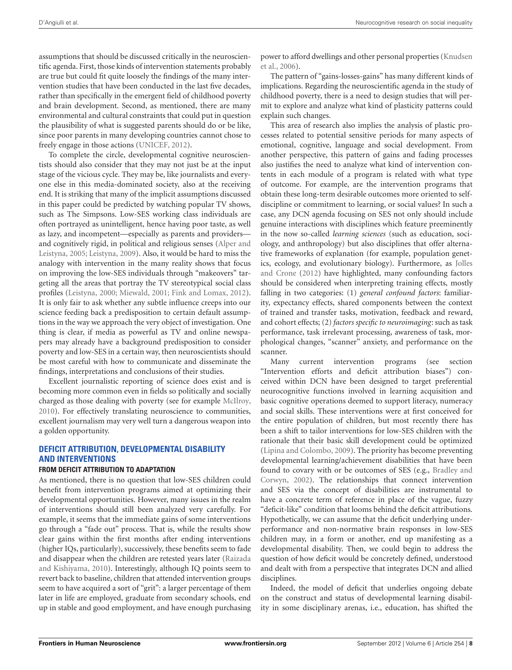assumptions that should be discussed critically in the neuroscientific agenda. First, those kinds of intervention statements probably are true but could fit quite loosely the findings of the many intervention studies that have been conducted in the last five decades, rather than specifically in the emergent field of childhood poverty and brain development. Second, as mentioned, there are many environmental and cultural constraints that could put in question the plausibility of what is suggested parents should do or be like, since poor parents in many developing countries cannot chose to freely engage in those actions [\(UNICEF](#page-16-11), [2012\)](#page-16-11).

To complete the circle, developmental cognitive neuroscientists should also consider that they may not just be at the input stage of the vicious cycle. They may be, like journalists and everyone else in this media-dominated society, also at the receiving end. It is striking that many of the implicit assumptions discussed in this paper could be predicted by watching popular TV shows, such as The Simpsons. Low-SES working class individuals are often portrayed as unintelligent, hence having poor taste, as well as lazy, and incompetent—especially as parents and providers and cog[nitively rigid, in political and religious senses \(](#page-12-12)Alper and Leistyna, [2005](#page-12-12); [Leistyna, 2009\)](#page-14-34). Also, it would be hard to miss the analogy with intervention in the many reality shows that focus on improving the low-SES individuals through "makeovers" targeting all the areas that portray the TV stereotypical social class profiles [\(Leistyna, 2000](#page-14-35); [Miewald, 2001;](#page-15-32) [Fink and Lomax, 2012](#page-13-27)). It is only fair to ask whether any subtle influence creeps into our science feeding back a predisposition to certain default assumptions in the way we approach the very object of investigation. One thing is clear, if media as powerful as TV and online newspapers may already have a background predisposition to consider poverty and low-SES in a certain way, then neuroscientists should be most careful with how to communicate and disseminate the findings, interpretations and conclusions of their studies.

Excellent journalistic reporting of science does exist and is becoming more common even in fields so politically and socially charged as those dealing with poverty (see for example [McIlroy,](#page-15-33) [2010](#page-15-33)). For effectively translating neuroscience to communities, excellent journalism may very well turn a dangerous weapon into a golden opportunity.

# **DEFICIT ATTRIBUTION, DEVELOPMENTAL DISABILITY AND INTERVENTIONS**

## **FROM DEFICIT ATTRIBUTION TO ADAPTATION**

As mentioned, there is no question that low-SES children could benefit from intervention programs aimed at optimizing their developmental opportunities. However, many issues in the realm of interventions should still been analyzed very carefully. For example, it seems that the immediate gains of some interventions go through a "fade out" process. That is, while the results show clear gains within the first months after ending interventions (higher IQs, particularly), successively, these benefits seem to fade and disappear [when](#page-15-2) [the](#page-15-2) [children](#page-15-2) [are](#page-15-2) [retested](#page-15-2) [years](#page-15-2) [later](#page-15-2) [\(](#page-15-2)Raizada and Kishiyama, [2010](#page-15-2)). Interestingly, although IQ points seem to revert back to baseline, children that attended intervention groups seem to have acquired a sort of "grit": a larger percentage of them later in life are employed, graduate from secondary schools, end up in stable and good employment, and have enough purchasing pow[er to afford dwellings and other personal properties \(](#page-14-36)Knudsen et al., [2006\)](#page-14-36).

The pattern of "gains-losses-gains" has many different kinds of implications. Regarding the neuroscientific agenda in the study of childhood poverty, there is a need to design studies that will permit to explore and analyze what kind of plasticity patterns could explain such changes.

This area of research also implies the analysis of plastic processes related to potential sensitive periods for many aspects of emotional, cognitive, language and social development. From another perspective, this pattern of gains and fading processes also justifies the need to analyze what kind of intervention contents in each module of a program is related with what type of outcome. For example, are the intervention programs that obtain these long-term desirable outcomes more oriented to selfdiscipline or commitment to learning, or social values? In such a case, any DCN agenda focusing on SES not only should include genuine interactions with disciplines which feature preeminently in the now so-called *learning sciences* (such as education, sociology, and anthropology) but also disciplines that offer alternative frameworks of explanation (for example, population genetics, ecolog[y, and evolutionary biology\). Furthermore, as](#page-14-32) Jolles and Crone [\(2012\)](#page-14-32) have highlighted, many confounding factors should be considered when interpreting training effects, mostly falling in two categories: (1) *general confound factors*: familiarity, expectancy effects, shared components between the context of trained and transfer tasks, motivation, feedback and reward, and cohort effects; (2) *factors specific to neuroimaging*: such as task performance, task irrelevant processing, awareness of task, morphological changes, "scanner" anxiety, and performance on the scanner.

Many current intervention programs (see section "Intervention efforts and deficit attribution biases") conceived within DCN have been designed to target preferential neurocognitive functions involved in learning acquisition and basic cognitive operations deemed to support literacy, numeracy and social skills. These interventions were at first conceived for the entire population of children, but most recently there has been a shift to tailor interventions for low-SES children with the rationale that their basic skill development could be optimized [\(Lipina and Colombo](#page-14-7), [2009\)](#page-14-7). The priority has become preventing developmental learning/achievement disabilities that have been found t[o covary with or be outcomes of SES \(e.g.,](#page-13-0) Bradley and Corwyn, [2002\)](#page-13-0). The relationships that connect intervention and SES via the concept of disabilities are instrumental to have a concrete term of reference in place of the vague, fuzzy "deficit-like" condition that looms behind the deficit attributions. Hypothetically, we can assume that the deficit underlying underperformance and non-normative brain responses in low-SES children may, in a form or another, end up manifesting as a developmental disability. Then, we could begin to address the question of how deficit would be concretely defined, understood and dealt with from a perspective that integrates DCN and allied disciplines.

Indeed, the model of deficit that underlies ongoing debate on the construct and status of developmental learning disability in some disciplinary arenas, i.e., education, has shifted the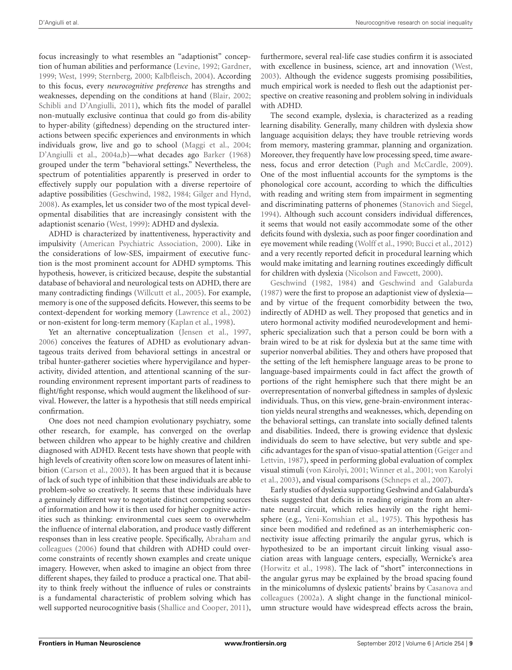focus increasingly to what resembles an "adaptionist" conception of human abilities and performance [\(Levine](#page-14-37), [1992](#page-14-37); [Gardner,](#page-14-38) [1999](#page-14-38); [West, 1999;](#page-16-12) [Sternberg, 2000;](#page-15-34) [Kalbfleisch](#page-14-39), [2004](#page-14-39)). According to this focus, every *neurocognitive preference* has strengths and weaknesses, depending on the conditions at hand [\(Blair, 2002;](#page-12-6) [Schibli and D'Angiulli, 2011](#page-15-35)), which fits the model of parallel non-mutually exclusive continua that could go from dis-ability to hyper-ability (giftedness) depending on the structured interactions between specific experiences and environments in which individuals grow, live and go to school [\(Maggi et al.](#page-15-36), [2004;](#page-15-36) [D'Angiulli et al., 2004a](#page-13-28)[,b](#page-13-29))—what decades ago [Barker](#page-12-13) [\(1968](#page-12-13)) grouped under the term "behavioral settings." Nevertheless, the spectrum of potentialities apparently is preserved in order to effectively supply our population with a diverse repertoire of adaptive possibilities [\(Geschwind, 1982](#page-14-4), [1984;](#page-14-5) [Gilger and Hynd,](#page-14-40) [2008](#page-14-40)). As examples, let us consider two of the most typical developmental disabilities that are increasingly consistent with the adaptionist scenario [\(West, 1999](#page-16-12)): ADHD and dyslexia.

ADHD is characterized by inattentiveness, hyperactivity and impulsivity [\(American Psychiatric Association, 2000](#page-12-14)). Like in the considerations of low-SES, impairment of executive function is the most prominent account for ADHD symptoms. This hypothesis, however, is criticized because, despite the substantial database of behavioral and neurological tests on ADHD, there are many contradicting findings [\(Willcutt et al.](#page-16-13), [2005\)](#page-16-13). For example, memory is one of the supposed deficits. However, this seems to be context-dependent for working memory [\(Lawrence et al., 2002](#page-14-41)) or non-existent for long-term memory [\(Kaplan et al.](#page-14-42), [1998\)](#page-14-42).

Yet an alternative conceptualization [\(Jensen et al.](#page-14-2), [1997,](#page-14-2) [2006](#page-14-3)) conceives the features of ADHD as evolutionary advantageous traits derived from behavioral settings in ancestral or tribal hunter-gatherer societies where hypervigilance and hyperactivity, divided attention, and attentional scanning of the surrounding environment represent important parts of readiness to flight/fight response, which would augment the likelihood of survival. However, the latter is a hypothesis that still needs empirical confirmation.

One does not need champion evolutionary psychiatry, some other research, for example, has converged on the overlap between children who appear to be highly creative and children diagnosed with ADHD. Recent tests have shown that people with high levels of creativity often score low on measures of latent inhibition [\(Carson et al., 2003\)](#page-13-30). It has been argued that it is because of lack of such type of inhibition that these individuals are able to problem-solve so creatively. It seems that these individuals have a genuinely different way to negotiate distinct competing sources of information and how it is then used for higher cognitive activities such as thinking: environmental cues seem to overwhelm the influence of internal elaboration, and produce vastly different responses [than](#page-12-15) [in](#page-12-15) [less](#page-12-15) [creative](#page-12-15) [people.](#page-12-15) [Specifically,](#page-12-15) Abraham and colleagues [\(2006](#page-12-15)) found that children with ADHD could overcome constraints of recently shown examples and create unique imagery. However, when asked to imagine an object from three different shapes, they failed to produce a practical one. That ability to think freely without the influence of rules or constraints is a fundamental characteristic of problem solving which has well supported neurocognitive basis [\(Shallice and Cooper](#page-15-37), [2011](#page-15-37)),

furthermore, several real-life case studies confirm it is associated with excellence in business, science, art and innovation [\(West](#page-16-14), [2003](#page-16-14)). Although the evidence suggests promising possibilities, much empirical work is needed to flesh out the adaptionist perspective on creative reasoning and problem solving in individuals with ADHD.

The second example, dyslexia, is characterized as a reading learning disability. Generally, many children with dyslexia show language acquisition delays; they have trouble retrieving words from memory, mastering grammar, planning and organization. Moreover, they frequently have low processing speed, time awareness, focus and error detection [\(Pugh and McCardle, 2009](#page-15-38)). One of the most influential accounts for the symptoms is the phonological core account, according to which the difficulties with reading and writing stem from impairment in segmenting and discriminating patterns of phonemes [\(Stanovich and Siegel,](#page-15-39) [1994](#page-15-39)). Although such account considers individual differences, it seems that would not easily accommodate some of the other deficits found with dyslexia, such as poor finger coordination and eye movement while reading [\(Wolff et al., 1990](#page-16-15); [Bucci et al., 2012](#page-13-31)) and a very recently reported deficit in procedural learning which would make imitating and learning routines exceedingly difficult [for](#page-14-4) [children](#page-14-4) [wi](#page-14-4)th dyslexia [\(Nicolson and Fawcett](#page-15-40), [2000](#page-15-40)).

Geschwind [\(1982,](#page-14-4) [1984](#page-14-5)) and [Geschwind and Galaburda](#page-14-43) [\(1987\)](#page-14-43) were the first to propose an adaptionist view of dyslexia and by virtue of the frequent comorbidity between the two, indirectly of ADHD as well. They proposed that genetics and in utero hormonal activity modified neurodevelopment and hemispheric specialization such that a person could be born with a brain wired to be at risk for dyslexia but at the same time with superior nonverbal abilities. They and others have proposed that the setting of the left hemisphere language areas to be prone to language-based impairments could in fact affect the growth of portions of the right hemisphere such that there might be an overrepresentation of nonverbal giftedness in samples of dyslexic individuals. Thus, on this view, gene-brain-environment interaction yields neural strengths and weaknesses, which, depending on the behavioral settings, can translate into socially defined talents and disabilities. Indeed, there is growing evidence that dyslexic individuals do seem to have selective, but very subtle and specific ad[vantages](#page-14-44) [for](#page-14-44) [the](#page-14-44) [span](#page-14-44) [of](#page-14-44) [visuo-spatial](#page-14-44) [attention](#page-14-44) [\(](#page-14-44)Geiger and Lettvin, [1987\)](#page-14-44), speed in performing global evaluation of complex visu[al stimuli](#page-16-18) [\(von Károlyi](#page-16-16)[,](#page-16-18) [2001](#page-16-16)[;](#page-16-18) [Winner et al.](#page-16-17)[,](#page-16-18) [2001;](#page-16-17) von Karolyi et al., [2003\)](#page-16-18), and visual comparisons [\(Schneps et al.](#page-15-41), [2007\)](#page-15-41).

Early studies of dyslexia supporting Geshwind and Galaburda's thesis suggested that deficits in reading originate from an alternate neural circuit, which relies heavily on the right hemisphere (e.g., [Yeni-Komshian et al.](#page-16-19), [1975\)](#page-16-19). This hypothesis has since been modified and redefined as an interhemispheric connectivity issue affecting primarily the angular gyrus, which is hypothesized to be an important circuit linking visual association areas with language centers, especially, Wernicke's area [\(Horwitz et al.](#page-14-45), [1998](#page-14-45)). The lack of "short" interconnections in the angular gyrus may be explained by the broad spacing found in the mi[nicolumns of dyslexic patients' brains by](#page-13-32) Casanova and colleagues [\(2002a\)](#page-13-32). A slight change in the functional minicolumn structure would have widespread effects across the brain,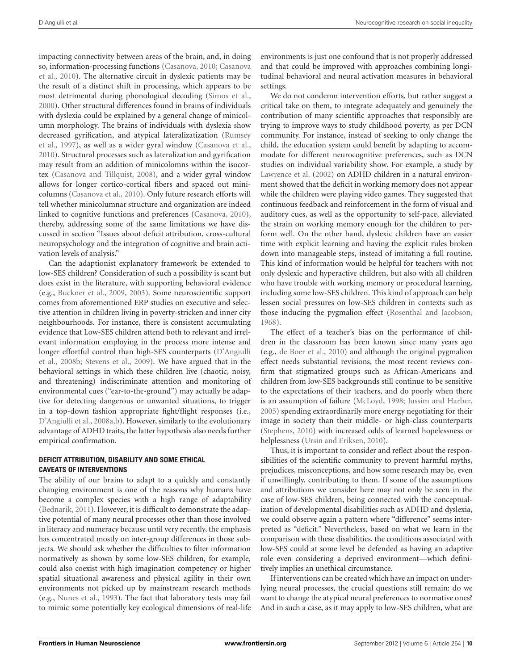impacting connectivity between areas of the brain, and, in doing so, i[nformation-processing](#page-13-34) [functions](#page-13-34) [\(Casanova](#page-13-33)[,](#page-13-34) [2010](#page-13-33)[;](#page-13-34) Casanova et al., [2010](#page-13-34)). The alternative circuit in dyslexic patients may be the result of a distinct shift in processing, which appears to be most detrimental during phonological decoding [\(Simos et al.,](#page-15-42) [2000](#page-15-42)). Other structural differences found in brains of individuals with dyslexia could be explained by a general change of minicolumn morphology. The brains of individuals with dyslexia show decr[eased gyrification, and atypical lateralizatization \(](#page-15-43)Rumsey et al., [1997](#page-15-43)), as well as a wider gyral window [\(Casanova et al.,](#page-13-34) [2010](#page-13-34)). Structural processes such as lateralization and gyrification may result from an addition of minicolomns within the isocortex [\(Casanova and Tillquist, 2008\)](#page-13-35), and a wider gyral window allows for longer cortico-cortical fibers and spaced out minicolumns [\(Casanova et al.](#page-13-34), [2010](#page-13-34)). Only future research efforts will tell whether minicolumnar structure and organization are indeed linked to cognitive functions and preferences [\(Casanova](#page-13-33), [2010](#page-13-33)), thereby, addressing some of the same limitations we have discussed in section "Issues about deficit attribution, cross-cultural neuropsychology and the integration of cognitive and brain activation levels of analysis."

Can the adaptionist explanatory framework be extended to low-SES children? Consideration of such a possibility is scant but does exist in the literature, with supporting behavioral evidence (e.g., [Buckner et al.](#page-13-36), [2009](#page-13-36), [2003\)](#page-13-37). Some neuroscientific support comes from aforementioned ERP studies on executive and selective attention in children living in poverty-stricken and inner city neighbourhoods. For instance, there is consistent accumulating evidence that Low-SES children attend both to relevant and irrelevant information employing in the process more intense and long[er effortful control than high-SES counterparts \(](#page-13-22)D'Angiulli et al., [2008b;](#page-13-22) [Stevens et al.](#page-15-21), [2009](#page-15-21)). We have argued that in the behavioral settings in which these children live (chaotic, noisy, and threatening) indiscriminate attention and monitoring of environmental cues ("ear-to-the-ground") may actually be adaptive for detecting dangerous or unwanted situations, to trigger in a top-down fashion appropriate fight/flight responses (i.e., [D'Angiulli et al., 2008a](#page-13-21)[,b\)](#page-13-22). However, similarly to the evolutionary advantage of ADHD traits, the latter hypothesis also needs further empirical confirmation.

#### **DEFICIT ATTRIBUTION, DISABILITY AND SOME ETHICAL CAVEATS OF INTERVENTIONS**

The ability of our brains to adapt to a quickly and constantly changing environment is one of the reasons why humans have become a complex species with a high range of adaptability [\(Bednarik](#page-12-16), [2011\)](#page-12-16). However, it is difficult to demonstrate the adaptive potential of many neural processes other than those involved in literacy and numeracy because until very recently, the emphasis has concentrated mostly on inter-group differences in those subjects. We should ask whether the difficulties to filter information normatively as shown by some low-SES children, for example, could also coexist with high imagination competency or higher spatial situational awareness and physical agility in their own environments not picked up by mainstream research methods (e.g., [Nunes et al.](#page-15-44), [1993\)](#page-15-44). The fact that laboratory tests may fail to mimic some potentially key ecological dimensions of real-life

environments is just one confound that is not properly addressed and that could be improved with approaches combining longitudinal behavioral and neural activation measures in behavioral settings.

We do not condemn intervention efforts, but rather suggest a critical take on them, to integrate adequately and genuinely the contribution of many scientific approaches that responsibly are trying to improve ways to study childhood poverty, as per DCN community. For instance, instead of seeking to only change the child, the education system could benefit by adapting to accommodate for different neurocognitive preferences, such as DCN studies on individual variability show. For example, a study by [Lawrence et al.](#page-14-41) [\(2002](#page-14-41)) on ADHD children in a natural environment showed that the deficit in working memory does not appear while the children were playing video games. They suggested that continuous feedback and reinforcement in the form of visual and auditory cues, as well as the opportunity to self-pace, alleviated the strain on working memory enough for the children to perform well. On the other hand, dyslexic children have an easier time with explicit learning and having the explicit rules broken down into manageable steps, instead of imitating a full routine. This kind of information would be helpful for teachers with not only dyslexic and hyperactive children, but also with all children who have trouble with working memory or procedural learning, including some low-SES children. This kind of approach can help lessen social pressures on low-SES children in contexts such as those inducing the pygmalion effect [\(Rosenthal and Jacobson,](#page-15-45) [1968](#page-15-45)).

The effect of a teacher's bias on the performance of children in the classroom has been known since many years ago (e.g., [de Boer et al., 2010](#page-13-38)) and although the original pygmalion effect needs substantial revisions, the most recent reviews confirm that stigmatized groups such as African-Americans and children from low-SES backgrounds still continue to be sensitive to the expectations of their teachers, and do poorly when there is an assumption of failure [\(McLoyd](#page-15-8), [1998;](#page-15-8) [Jussim and Harber,](#page-14-46) [2005](#page-14-46)) spending extraordinarily more energy negotiating for their image in society than their middle- or high-class counterparts [\(Stephens](#page-15-46), [2010\)](#page-15-46) with increased odds of learned hopelessness or helplessness [\(Ursin and Eriksen, 2010](#page-16-20)).

Thus, it is important to consider and reflect about the responsibilities of the scientific community to prevent harmful myths, prejudices, misconceptions, and how some research may be, even if unwillingly, contributing to them. If some of the assumptions and attributions we consider here may not only be seen in the case of low-SES children, being connected with the conceptualization of developmental disabilities such as ADHD and dyslexia, we could observe again a pattern where "difference" seems interpreted as "deficit." Nevertheless, based on what we learn in the comparison with these disabilities, the conditions associated with low-SES could at some level be defended as having an adaptive role even considering a deprived environment—which definitively implies an unethical circumstance.

If interventions can be created which have an impact on underlying neural processes, the crucial questions still remain: do we want to change the atypical neural preferences to normative ones? And in such a case, as it may apply to low-SES children, what are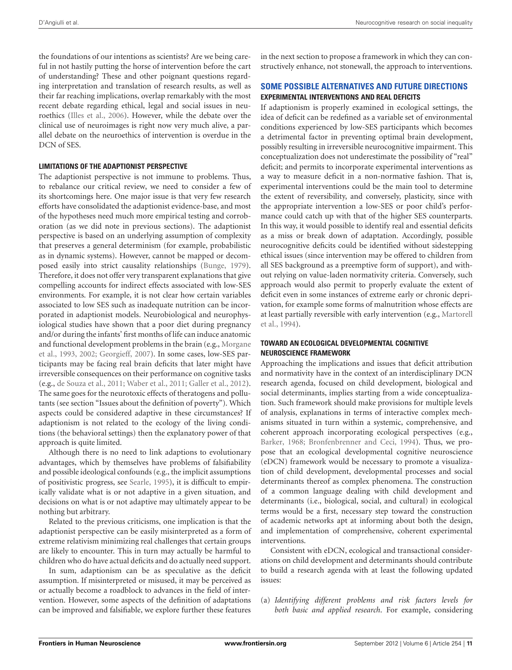the foundations of our intentions as scientists? Are we being careful in not hastily putting the horse of intervention before the cart of understanding? These and other poignant questions regarding interpretation and translation of research results, as well as their far reaching implications, overlap remarkably with the most recent debate regarding ethical, legal and social issues in neuroethics [\(Illes et al.](#page-14-47), [2006](#page-14-47)). However, while the debate over the clinical use of neuroimages is right now very much alive, a parallel debate on the neuroethics of intervention is overdue in the DCN of SES.

#### **LIMITATIONS OF THE ADAPTIONIST PERSPECTIVE**

The adaptionist perspective is not immune to problems. Thus, to rebalance our critical review, we need to consider a few of its shortcomings here. One major issue is that very few research efforts have consolidated the adaptionist evidence-base, and most of the hypotheses need much more empirical testing and corroboration (as we did note in previous sections). The adaptionist perspective is based on an underlying assumption of complexity that preserves a general determinism (for example, probabilistic as in dynamic systems). However, cannot be mapped or decomposed easily into strict causality relationships [\(Bunge, 1979](#page-13-39)). Therefore, it does not offer very transparent explanations that give compelling accounts for indirect effects associated with low-SES environments. For example, it is not clear how certain variables associated to low SES such as inadequate nutrition can be incorporated in adaptionist models. Neurobiological and neurophysiological studies have shown that a poor diet during pregnancy and/or during the infants' first months of life can induce anatomic and [functional development problems in the brain \(e.g.,](#page-15-47) Morgane et al., [1993](#page-15-47), [2002;](#page-15-48) [Georgieff](#page-14-48), [2007\)](#page-14-48). In some cases, low-SES participants may be facing real brain deficits that later might have irreversible consequences on their performance on cognitive tasks (e.g., [de Souza et al.](#page-13-40), [2011](#page-13-40); [Waber et al., 2011](#page-16-21); [Galler et al.](#page-14-49), [2012](#page-14-49)). The same goes for the neurotoxic effects of theratogens and pollutants (see section "Issues about the definition of poverty"). Which aspects could be considered adaptive in these circumstances? If adaptionism is not related to the ecology of the living conditions (the behavioral settings) then the explanatory power of that approach is quite limited.

Although there is no need to link adaptions to evolutionary advantages, which by themselves have problems of falsifiability and possible ideological confounds (e.g., the implicit assumptions of positivistic progress, see [Searle](#page-15-49), [1995\)](#page-15-49), it is difficult to empirically validate what is or not adaptive in a given situation, and decisions on what is or not adaptive may ultimately appear to be nothing but arbitrary.

Related to the previous criticisms, one implication is that the adaptionist perspective can be easily misinterpreted as a form of extreme relativism minimizing real challenges that certain groups are likely to encounter. This in turn may actually be harmful to children who do have actual deficits and do actually need support.

In sum, adaptionism can be as speculative as the deficit assumption. If misinterpreted or misused, it may be perceived as or actually become a roadblock to advances in the field of intervention. However, some aspects of the definition of adaptations can be improved and falsifiable, we explore further these features

in the next section to propose a framework in which they can constructively enhance, not stonewall, the approach to interventions.

# **SOME POSSIBLE ALTERNATIVES AND FUTURE DIRECTIONS EXPERIMENTAL INTERVENTIONS AND REAL DEFICITS**

If adaptionism is properly examined in ecological settings, the idea of deficit can be redefined as a variable set of environmental conditions experienced by low-SES participants which becomes a detrimental factor in preventing optimal brain development, possibly resulting in irreversible neurocognitive impairment. This conceptualization does not underestimate the possibility of "real" deficit; and permits to incorporate experimental interventions as a way to measure deficit in a non-normative fashion. That is, experimental interventions could be the main tool to determine the extent of reversibility, and conversely, plasticity, since with the appropriate intervention a low-SES or poor child's performance could catch up with that of the higher SES counterparts. In this way, it would possible to identify real and essential deficits as a miss or break down of adaptation. Accordingly, possible neurocognitive deficits could be identified without sidestepping ethical issues (since intervention may be offered to children from all SES background as a preemptive form of support), and without relying on value-laden normativity criteria. Conversely, such approach would also permit to properly evaluate the extent of deficit even in some instances of extreme early or chronic deprivation, for example some forms of malnutrition whose effects are at le[ast partially reversible with early intervention \(e.g.,](#page-15-50) Martorell et al., [1994\)](#page-15-50).

#### **TOWARD AN ECOLOGICAL DEVELOPMENTAL COGNITIVE NEUROSCIENCE FRAMEWORK**

Approaching the implications and issues that deficit attribution and normativity have in the context of an interdisciplinary DCN research agenda, focused on child development, biological and social determinants, implies starting from a wide conceptualization. Such framework should make provisions for multiple levels of analysis, explanations in terms of interactive complex mechanisms situated in turn within a systemic, comprehensive, and coherent approach incorporating ecological perspectives (e.g., [Barker](#page-12-13), [1968;](#page-12-13) [Bronfenbrenner and Ceci, 1994](#page-13-41)). Thus, we propose that an ecological developmental cognitive neuroscience (eDCN) framework would be necessary to promote a visualization of child development, developmental processes and social determinants thereof as complex phenomena. The construction of a common language dealing with child development and determinants (i.e., biological, social, and cultural) in ecological terms would be a first, necessary step toward the construction of academic networks apt at informing about both the design, and implementation of comprehensive, coherent experimental interventions.

Consistent with eDCN, ecological and transactional considerations on child development and determinants should contribute to build a research agenda with at least the following updated issues:

(a) *Identifying different problems and risk factors levels for both basic and applied research*. For example, considering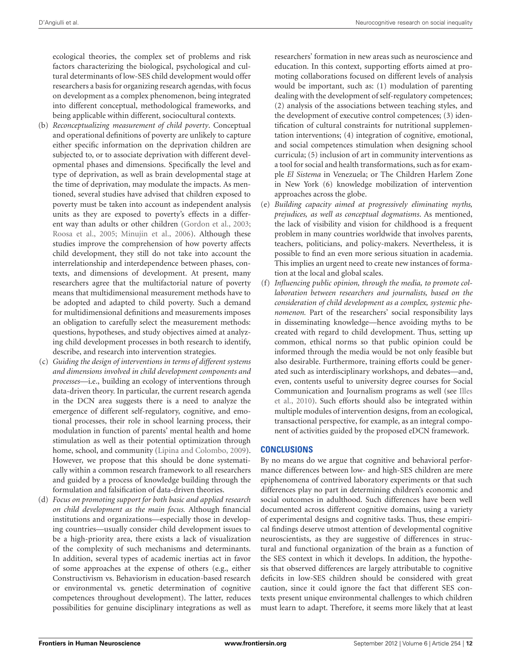ecological theories, the complex set of problems and risk factors characterizing the biological, psychological and cultural determinants of low-SES child development would offer researchers a basis for organizing research agendas, with focus on development as a complex phenomenon, being integrated into different conceptual, methodological frameworks, and being applicable within different, sociocultural contexts.

- (b) *Reconceptualizing measurement of child poverty*. Conceptual and operational definitions of poverty are unlikely to capture either specific information on the deprivation children are subjected to, or to associate deprivation with different developmental phases and dimensions. Specifically the level and type of deprivation, as well as brain developmental stage at the time of deprivation, may modulate the impacts. As mentioned, several studies have advised that children exposed to poverty must be taken into account as independent analysis units as they are exposed to poverty's effects in a different way than adults or other children [\(Gordon et al., 2003;](#page-14-50) [Roosa et al.](#page-15-6), [2005](#page-15-6); [Minujin et al., 2006\)](#page-15-4). Although these studies improve the comprehension of how poverty affects child development, they still do not take into account the interrelationship and interdependence between phases, contexts, and dimensions of development. At present, many researchers agree that the multifactorial nature of poverty means that multidimensional measurement methods have to be adopted and adapted to child poverty. Such a demand for multidimensional definitions and measurements imposes an obligation to carefully select the measurement methods: questions, hypotheses, and study objectives aimed at analyzing child development processes in both research to identify, describe, and research into intervention strategies.
- (c) *Guiding the design of interventions in terms of different systems and dimensions involved in child development components and processes*—i.e., building an ecology of interventions through data-driven theory. In particular, the current research agenda in the DCN area suggests there is a need to analyze the emergence of different self-regulatory, cognitive, and emotional processes, their role in school learning process, their modulation in function of parents' mental health and home stimulation as well as their potential optimization through home, school, and community [\(Lipina and Colombo](#page-14-7), [2009](#page-14-7)). However, we propose that this should be done systematically within a common research framework to all researchers and guided by a process of knowledge building through the formulation and falsification of data-driven theories.
- (d) *Focus on promoting support for both basic and applied research on child development as the main focus.* Although financial institutions and organizations—especially those in developing countries—usually consider child development issues to be a high-priority area, there exists a lack of visualization of the complexity of such mechanisms and determinants. In addition, several types of academic inertias act in favor of some approaches at the expense of others (e.g., either Constructivism vs. Behaviorism in education-based research or environmental vs. genetic determination of cognitive competences throughout development). The latter, reduces possibilities for genuine disciplinary integrations as well as

researchers' formation in new areas such as neuroscience and education. In this context, supporting efforts aimed at promoting collaborations focused on different levels of analysis would be important, such as: (1) modulation of parenting dealing with the development of self-regulatory competences; (2) analysis of the associations between teaching styles, and the development of executive control competences; (3) identification of cultural constraints for nutritional supplementation interventions; (4) integration of cognitive, emotional, and social competences stimulation when designing school curricula; (5) inclusion of art in community interventions as a tool for social and health transformations, such as for example *El Sistema* in Venezuela; or The Children Harlem Zone in New York (6) knowledge mobilization of intervention approaches across the globe.

- (e) *Building capacity aimed at progressively eliminating myths, prejudices, as well as conceptual dogmatisms*. As mentioned, the lack of visibility and vision for childhood is a frequent problem in many countries worldwide that involves parents, teachers, politicians, and policy-makers. Nevertheless, it is possible to find an even more serious situation in academia. This implies an urgent need to create new instances of formation at the local and global scales.
- (f) *Influencing public opinion, through the media, to promote collaboration between researchers and journalists, based on the consideration of child development as a complex, systemic phenomenon.* Part of the researchers' social responsibility lays in disseminating knowledge—hence avoiding myths to be created with regard to child development. Thus, setting up common, ethical norms so that public opinion could be informed through the media would be not only feasible but also desirable. Furthermore, training efforts could be generated such as interdisciplinary workshops, and debates—and, even, contents useful to university degree courses for Social Com[munication and Journalism programs as well \(see](#page-14-33) Illes et al., [2010\)](#page-14-33). Such efforts should also be integrated within multiple modules of intervention designs, from an ecological, transactional perspective, for example, as an integral component of activities guided by the proposed eDCN framework.

## **CONCLUSIONS**

By no means do we argue that cognitive and behavioral performance differences between low- and high-SES children are mere epiphenomena of contrived laboratory experiments or that such differences play no part in determining children's economic and social outcomes in adulthood. Such differences have been well documented across different cognitive domains, using a variety of experimental designs and cognitive tasks. Thus, these empirical findings deserve utmost attention of developmental cognitive neuroscientists, as they are suggestive of differences in structural and functional organization of the brain as a function of the SES context in which it develops. In addition, the hypothesis that observed differences are largely attributable to cognitive deficits in low-SES children should be considered with great caution, since it could ignore the fact that different SES contexts present unique environmental challenges to which children must learn to adapt. Therefore, it seems more likely that at least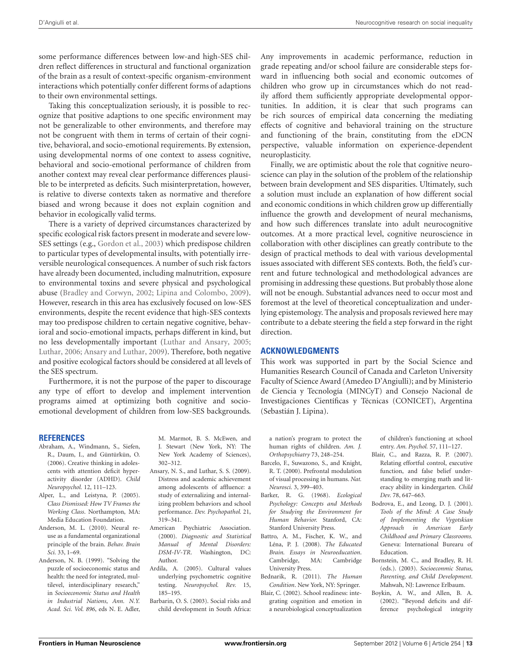some performance differences between low-and high-SES children reflect differences in structural and functional organization of the brain as a result of context-specific organism-environment interactions which potentially confer different forms of adaptions to their own environmental settings.

Taking this conceptualization seriously, it is possible to recognize that positive adaptions to one specific environment may not be generalizable to other environments, and therefore may not be congruent with them in terms of certain of their cognitive, behavioral, and socio-emotional requirements. By extension, using developmental norms of one context to assess cognitive, behavioral and socio-emotional performance of children from another context may reveal clear performance differences plausible to be interpreted as deficits. Such misinterpretation, however, is relative to diverse contexts taken as normative and therefore biased and wrong because it does not explain cognition and behavior in ecologically valid terms.

There is a variety of deprived circumstances characterized by specific ecological risk factors present in moderate and severe low-SES settings (e.g., [Gordon et al., 2003\)](#page-14-50) which predispose children to particular types of developmental insults, with potentially irreversible neurological consequences. A number of such risk factors have already been documented, including malnutrition, exposure to environmental toxins and severe physical and psychological abuse [\(Bradley and Corwyn](#page-13-0), [2002;](#page-13-0) [Lipina and Colombo](#page-14-7), [2009](#page-14-7)). However, research in this area has exclusively focused on low-SES environments, despite the recent evidence that high-SES contexts may too predispose children to certain negative cognitive, behavioral and socio-emotional impacts, perhaps different in kind, but no less developmentally important [\(Luthar and Ansary, 2005;](#page-14-51) [Luthar, 2006](#page-14-30); [Ansary and Luthar, 2009](#page-12-10)). Therefore, both negative and positive ecological factors should be considered at all levels of the SES spectrum.

Furthermore, it is not the purpose of the paper to discourage any type of effort to develop and implement intervention programs aimed at optimizing both cognitive and socioemotional development of children from low-SES backgrounds.

#### **REFERENCES**

- <span id="page-12-15"></span>Abraham, A., Windmann, S., Siefen, R., Daum, I., and Güntürkün, O. (2006). Creative thinking in adolescents with attention deficit hyperactivity disorder (ADHD). *Child Neuropsychol.* 12, 111–123.
- <span id="page-12-12"></span>Alper, L., and Leistyna, P. (2005). *Class Dismissed: How TV Frames the Working Class*. Northampton, MA: Media Education Foundation.
- <span id="page-12-9"></span>Anderson, M. L. (2010). Neural reuse as a fundamental organizational principle of the brain. *Behav. Brain Sci.* 33, 1–69.
- <span id="page-12-0"></span>Anderson, N. B. (1999). "Solving the puzzle of socioeconomic status and health: the need for integrated, multilevel, interdisciplinary research," in *Socioeconomic Status and Health in Industrial Nations*, *Ann. N.Y. Acad. Sci. Vol. 896*, eds N. E. Adler,

M. Marmot, B. S. McEwen, and J. Stewart (New York, NY: The New York Academy of Sciences), 302–312.

- <span id="page-12-10"></span>Ansary, N. S., and Luthar, S. S. (2009). Distress and academic achievement among adolescents of affluence: a study of externalizing and internalizing problem behaviors and school performance. *Dev. Psychopathol.* 21, 319–341.
- <span id="page-12-14"></span>American Psychiatric Association. (2000). *Diagnostic and Statistical Manual of Mental Disorders: DSM-IV-TR*. Washington, DC: Author.
- <span id="page-12-7"></span>Ardila, A. (2005). Cultural values underlying psychometric cognitive testing. *Neuropsychol. Rev.* 15, 185–195.
- <span id="page-12-3"></span>Barbarin, O. S. (2003). Social risks and child development in South Africa:

Any improvements in academic performance, reduction in grade repeating and/or school failure are considerable steps forward in influencing both social and economic outcomes of children who grow up in circumstances which do not readily afford them sufficiently appropriate developmental opportunities. In addition, it is clear that such programs can be rich sources of empirical data concerning the mediating effects of cognitive and behavioral training on the structure and functioning of the brain, constituting from the eDCN perspective, valuable information on experience-dependent neuroplasticity.

Finally, we are optimistic about the role that cognitive neuroscience can play in the solution of the problem of the relationship between brain development and SES disparities. Ultimately, such a solution must include an explanation of how different social and economic conditions in which children grow up differentially influence the growth and development of neural mechanisms, and how such differences translate into adult neurocognitive outcomes. At a more practical level, cognitive neuroscience in collaboration with other disciplines can greatly contribute to the design of practical methods to deal with various developmental issues associated with different SES contexts. Both, the field's current and future technological and methodological advances are promising in addressing these questions. But probably those alone will not be enough. Substantial advances need to occur most and foremost at the level of theoretical conceptualization and underlying epistemology. The analysis and proposals reviewed here may contribute to a debate steering the field a step forward in the right direction.

#### **ACKNOWLEDGMENTS**

This work was supported in part by the Social Science and Humanities Research Council of Canada and Carleton University Faculty of Science Award (Amedeo D'Angiulli); and by Ministerio de Ciencia y Tecnología (MINCyT) and Consejo Nacional de Investigaciones Científicas y Técnicas (CONICET), Argentina (Sebastián J. Lipina).

a nation's program to protect the human rights of children. *Am. J. Orthopsychiatry* 73, 248–254.

- <span id="page-12-8"></span>Barcelo, F., Suwazono, S., and Knight, R. T. (2000). Prefrontal modulation of visual processing in humans. *Nat. Neurosci.* 3, 399–403.
- <span id="page-12-13"></span>Barker, R. G. (1968). *Ecological Psychology: Concepts and Methods for Studying the Environment for Human Behavior.* Stanford, CA: Stanford University Press.
- <span id="page-12-5"></span>Battro, A. M., Fischer, K. W., and Léna, P. J. (2008). *The Educated Brain. Essays in Neuroeducation*. Cambridge, MA: Cambridge University Press.
- <span id="page-12-16"></span>Bednarik, R. (2011). *The Human Condition*. New York, NY: Springer.
- <span id="page-12-6"></span>Blair, C. (2002). School readiness: integrating cognition and emotion in a neurobiological conceptualization

of children's functioning at school entry. *Am. Psychol.* 57, 111–127.

- <span id="page-12-4"></span>Blair, C., and Razza, R. P. (2007). Relating effortful control, executive function, and false belief understanding to emerging math and literacy ability in kindergarten. *Child Dev.* 78, 647–663.
- <span id="page-12-11"></span>Bodrova, E., and Leong, D. J. (2001). *Tools of the Mind: A Case Study of Implementing the Vygotskian Approach in American Early Childhood and Primary Classrooms.* Geneva: International Burearu of Education.
- <span id="page-12-1"></span>Bornstein, M. C., and Bradley, R. H. (eds.). (2003). *Socioeconmic Status, Parenting, and Child Development*. Mahwah, NJ: Lawrence Erlbaum.
- <span id="page-12-2"></span>Boykin, A. W., and Allen, B. A. (2002). "Beyond deficits and difference psychological integrity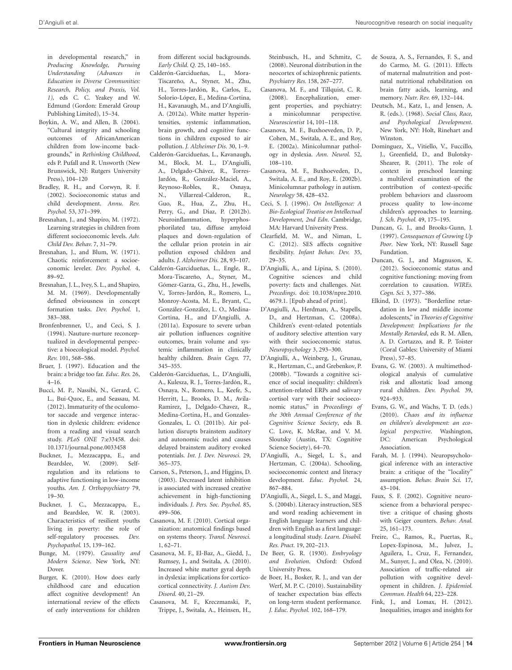in developmental research," in *Producing Knowledge, Pursuing Understanding (Advances in Education in Diverse Communities: Research, Policy, and Praxis, Vol. 1),* eds C. C. Yeakey and W. Edmund (Gordon: Emerald Group Publishing Limited), 15–34.

- <span id="page-13-1"></span>Boykin, A. W., and Allen, B. (2004). "Cultural integrity and schooling outcomes of AfricanAmerican children from low-income backgrounds," in *Rethinking Childhood*, eds P. Pufall and R. Unsworth (New Brunswick, NJ: Rutgers University Press), 104–120
- <span id="page-13-0"></span>Bradley, R. H., and Corwyn, R. F. (2002). Socioeconomic status and child development. *Annu. Rev. Psychol.* 53, 371–399.
- <span id="page-13-17"></span>Bresnahan, J., and Shapiro, M. (1972). Learning strategies in children from different socioeconomic levels. *Adv. Child Dev. Behav.* 7, 31–79.
- <span id="page-13-18"></span>Bresnahan, J., and Blum, W. (1971). Chaotic reinforcement: a socioeconomic leveler. *Dev. Psychol.* 4, 89–92.
- <span id="page-13-16"></span>Bresnahan, J. L., Ivey, S. L., and Shapiro, M. M. (1969). Developmentally defined obviousness in concept formation tasks. *Dev. Psychol.* 1, 383–388.
- <span id="page-13-41"></span>Bronfenbrenner, U., and Ceci, S. J. (1994). Nauture-nurture reconceptualized in developmental perspective: a bioecological model. *Psychol. Rev.* 101, 568–586.
- <span id="page-13-26"></span>Bruer, J. (1997). Education and the brain: a bridge too far. *Educ. Res.* 26, 4–16.
- <span id="page-13-31"></span>Bucci, M. P., Nassibi, N., Gerard, C. L., Bui-Quoc, E., and Seassau, M. (2012). Immaturity of the oculomotor saccade and vergence interaction in dyslexic children: evidence from a reading and visual search study. *PLoS ONE* 7:e33458. doi: 10.1371/journal.pone.0033458
- <span id="page-13-36"></span>Buckner, J., Mezzacappa, E., and Beardslee, W. (2009). Selfregulation and its relations to adaptive functioning in low-income youths. *Am. J. Orthopsychiatry* 79, 19–30.
- <span id="page-13-37"></span>Buckner, J. C., Mezzacappa, E., and Beardslee, W. R. (2003). Characteristics of resilient youths living in poverty: the role of self-regulatory processes. *Dev. Psychopathol.* 15, 139–162.
- <span id="page-13-39"></span>Bunge, M. (1979). *Causality and Modern Science*. New York, NY: Dover.
- <span id="page-13-3"></span>Burger, K. (2010). How does early childhood care and education affect cognitive development? An international review of the effects of early interventions for children

from different social backgrounds. *Early Child. Q.* 25, 140–165.

- <span id="page-13-8"></span>Calderón-Garcidueñas, L., Mora-Tiscareño, A., Styner, M., Zhu, H., Torres-Jardón, R., Carlos, E., Solorio-López, E., Medina-Cortina, H., Kavanaugh, M., and D'Angiulli, A. (2012a). White matter hyperintensities, systemic inflammation, brain growth, and cognitive functions in children exposed to air pollution. *J. Alzheimer Dis.* 30, 1–9. Calderón-Garcidueñas, L., Kavanaugh,
- <span id="page-13-9"></span>M., Block, M. L., D'Angiulli, A., Delgado-Chávez, R., Torres-Jardón, R., González-Maciel, A., Reynoso-Robles, R., Osnaya, N., Villarreal-Calderon, R., Guo, R., Hua, Z., Zhu, H., Perry, G., and Diaz, P. (2012b). Neuroinflammation, hyperphosphorilated tau, diffuse amyloid plaques and down-regulation of the cellular prion protein in air pollution exposed children and adults. *J. Alzheimer Dis.* 28, 93–107.
- <span id="page-13-7"></span>Calderón-Garcidueñas, L., Engle, R., Mora-Tiscareño, A., Styner, M., Gómez-Garza, G., Zhu, H., Jewells, V., Torres-Jardón, R., Romero, L., Monroy-Acosta, M. E., Bryant, C., González-González, L. O., Medina-Cortina, H., and D'Angiulli, A. (2011a). Exposure to severe urban air pollution influences cognitive outcomes, brain volume and systemic inflammation in clinically healthy children. *Brain Cogn.* 77, 345–355.
- <span id="page-13-10"></span>Calderón-Garcidueñas, L., D'Angiulli, A., Kulesza, R. J., Torres-Jardón, R., Osnaya, N., Romero, L., Keefe, S., Herritt, L., Brooks, D. M., Avila-Ramirez, J., Delgado-Chavez, R., Medina-Cortina, H., and Gonzales-Gonzales, L. O. (2011b). Air pollution disrupts brainstem auditory and autonomic nuclei and causes delayed brainstem auditory evoked potentials. *Int. J. Dev. Neurosci.* 29, 365–375.
- <span id="page-13-30"></span>Carson, S., Peterson, J., and Higgins, D. (2003). Decreased latent inhibition is associated with increased creative achievement in high-functioning individuals. *J. Pers. Soc. Psychol.* 85, 499–506.
- <span id="page-13-33"></span>Casanova, M. F. (2010). Cortical organization: anatomical findings based on systems theory. *Transl. Neurosci.* 1, 62–71.
- <span id="page-13-34"></span>Casanova, M. F., El-Baz, A., Giedd, J., Rumsey, J., and Switala, A. (2010). Increased white matter gyral depth in dyslexia: implications for corticocortical connectivity. *J. Autism Dev. Disord.* 40, 21–29.
- Casanova, M. F., Kreczmanski, P., Trippe, J., Switala, A., Heinsen, H.,

Steinbusch, H., and Schmitz, C. (2008). Neuronal distribution in the neocortex of schizophrenic patients. *Psychiatry Res.* 158, 267–277.

- <span id="page-13-35"></span>Casanova, M. F., and Tillquist, C. R. (2008). Encephalization, emergent properties, and psychiatry: a minicolumnar perspective. *Neuroscientist* 14, 101–118.
- <span id="page-13-32"></span>Casanova, M. F., Buxhoeveden, D. P., Cohen, M., Switala, A. E., and Roy, E. (2002a). Minicolumnar pathology in dyslexia. *Ann. Neurol.* 52, 108–110.
- Casanova, M. F., Buxhoeveden, D., Switala, A. E., and Roy, E. (2002b). Minicolumnar pathology in autism. *Neurology* 58, 428–432.
- <span id="page-13-13"></span>Ceci, S. J. (1996). *On Intelligence: A Bio-Ecological Treatise on Intellectual Development, 2nd Edn*. Cambridge, MA: Harvard University Press.
- <span id="page-13-19"></span>Clearfield, M. W., and Niman, L. C. (2012). SES affects cognitive flexibility. *Infant Behav. Dev.* 35, 29–35.
- <span id="page-13-25"></span>D'Angiulli, A., and Lipina, S. (2010). Cognitive sciences and child poverty: facts and challenges. *Nat. Precedings*. doi: 10.1038/npre.2010. 4679.1. [Epub ahead of print].
- <span id="page-13-21"></span>D'Angiulli, A., Herdman, A., Stapells, D., and Hertzman, C. (2008a). Children's event-related potentials of auditory selective attention vary with their socioeconomic status. *Neuropsychology* 3, 293–300.
- <span id="page-13-22"></span>D'Angiulli, A., Weinberg, J., Grunau, R., Hertzman, C., and Grebenkov, P. (2008b). "Towards a cognitive science of social inequality: children's attention-related ERPs and salivary cortisol vary with their socioeconomic status," in *Proceedings of the 30th Annual Conference of the Cognitive Science Society*, eds B. C. Love, K. McRae, and V. M. Sloutsky (Austin, TX: Cognitive Science Society), 64–70.
- <span id="page-13-28"></span>D'Angiulli, A., Siegel, L. S., and Hertzman, C. (2004a). Schooling, socioeconomic context and literacy development. *Educ. Psychol.* 24, 867–884.
- <span id="page-13-29"></span>D'Angiulli, A., Siegel, L. S., and Maggi, S. (2004b). Literacy instruction, SES and word reading achievement in English language learners and children with English as a first language: a longitudinal study. *Learn. Disabil. Res. Pract.* 19, 202–213.
- <span id="page-13-2"></span>De Beer, G. R. (1930). *Embryology and Evolution*. Oxford: Oxford University Press.
- <span id="page-13-38"></span>de Boer, H., Bosker, R. J., and van der Werf, M. P. C. (2010). Sustainability of teacher expectation bias effects on long-term student performance. *J. Educ. Psychol.* 102, 168–179.
- <span id="page-13-40"></span>de Souza, A. S., Fernandes, F. S., and do Carmo, M. G. (2011). Effects of maternal malnutrition and postnatal nutritional rehabilitation on brain fatty acids, learning, and memory. *Nutr. Rev.* 69, 132–144.
- <span id="page-13-4"></span>Deutsch, M., Katz, I., and Jensen, A. R. (eds.). (1968). *Social Class, Race, and Psychological Development*. New York, NY: Holt, Rinehart and Winston.
- <span id="page-13-15"></span>Domínguez, X., Vitiello, V., Fuccillo, J., Greenfield, D., and Bulotsky-Shearer, R. (2011). The role of context in preschool learning: a multilevel examination of the contribution of context-specific problem behaviors and classroom process quality to low-income children's approaches to learning. *J. Sch. Psychol.* 49, 175–195.
- <span id="page-13-12"></span>Duncan, G. J., and Brooks-Gunn, J. (1997). *Consequences of Growing Up Poor*. New York, NY: Russell Sage Fundation.
- <span id="page-13-5"></span>Duncan, G. J., and Magnuson, K. (2012). Socioeconomic status and cognitive functioning: moving from correlation to causation. *WIREs. Cogn. Sci.* 3, 377–386.
- <span id="page-13-14"></span>Elkind, D. (1973). "Borderline retardation in low and middle income adolescents," in *Theories of Cognitive Development: Implications for the Mentally Retarded*, eds R. M. Allen, A. D. Cortazzo, and R. P. Toister (Coral Gables: University of Miami Press), 57–85.
- <span id="page-13-11"></span>Evans, G. W. (2003). A multimethodological analysis of cumulative risk and allostatic load among rural children. *Dev. Psychol.* 39, 924–933.
- <span id="page-13-20"></span>Evans, G. W., and Wachs, T. D. (eds.) (2010). *Chaos and its influence on children's development: an ecological perspective*. Washington, DC: American Psychological Association.
- <span id="page-13-23"></span>Farah, M. J. (1994). Neuropsychological inference with an interactive brain: a critique of the "locality" assumption. *Behav. Brain Sci.* 17, 43–104.
- <span id="page-13-24"></span>Faux, S. F. (2002). Cognitive neuroscience from a behavioral perspective: a critique of chasing ghosts with Geiger counters. *Behav. Anal.* 25, 161–173.
- <span id="page-13-6"></span>Freire, C., Ramos, R., Puertas, R., Lopex-Espinosa, M., Julvez, J., Aguilera, I., Cruz, F., Fernandez, M., Sunyer, J., and Olea, N. (2010). Association of traffic-related air pollution with cognitive development in children. *J. Epidemiol. Commun. Health* 64, 223–228.
- <span id="page-13-27"></span>Fink, J., and Lomax, H. (2012). Inequalities, images and insights for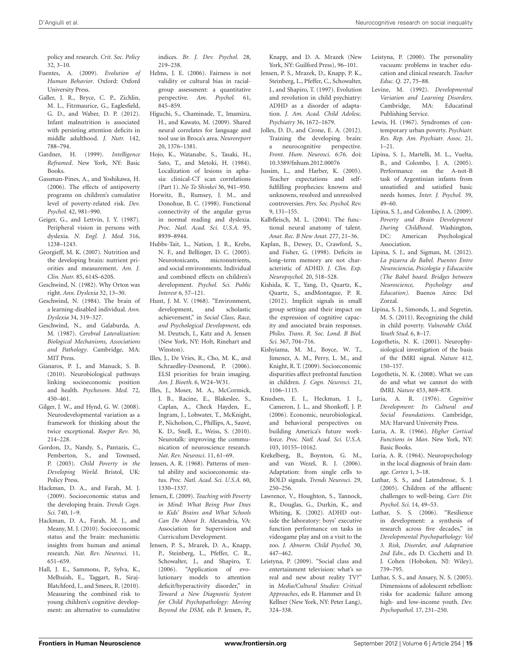policy and research. *Crit. Soc. Policy* 32, 3–10.

- <span id="page-14-1"></span>Fuentes, A. (2009). *Evolution of Human Behavior*. Oxford: Oxford University Press.
- <span id="page-14-49"></span>Galler, J. R., Bryce, C. P., Zichlin, M. L., Fitzmaurice, G., Eaglesfield, G. D., and Waber, D. P. (2012). Infant malnutrition is associated with persisting attention deficits in middle adulthood. *J. Nutr.* 142, 788–794.
- <span id="page-14-38"></span>Gardner, H. (1999). *Intelligence Reframed*. New York, NY: Basic Books.
- <span id="page-14-14"></span>Gassman-Pines, A., and Yoshikawa, H. (2006). The effects of antipoverty programs on children's cumulative level of poverty-related risk. *Dev. Psychol.* 42, 981–990.
- <span id="page-14-44"></span>Geiger, G., and Lettvin, J. Y. (1987). Peripheral vision in persons with dyslexia. *N. Engl. J. Med.* 316, 1238–1243.
- <span id="page-14-48"></span>Georgieff, M. K. (2007). Nutrition and the developing brain: nutrient priorities and measurement. *Am. J. Clin. Nutr.* 85, 614S–620S.
- <span id="page-14-4"></span>Geschwind, N. (1982). Why Orton was right. *Ann. Dyslexia* 32, 13–30.
- <span id="page-14-5"></span>Geschwind, N. (1984). The brain of a learning-disabled individual. *Ann. Dyslexia* 34, 319–327.
- <span id="page-14-43"></span>Geschwind, N., and Galaburda, A. M. (1987). *Cerebral Lateralization: Biological Mechanisms, Associations and Pathology*. Cambridge, MA: MIT Press.
- <span id="page-14-8"></span>Gianaros, P. J., and Manuck, S. B. (2010). Neurobiological pathways linking socioeconomic position and health. *Psychosom. Med.* 72, 450–461.
- <span id="page-14-40"></span>Gilger, J. W., and Hynd, G. W. (2008). Neurodevelopmental variation as a framework for thinking about the twice exceptional. *Roeper Rev.* 30, 214–228.
- <span id="page-14-50"></span>Gordon, D., Nandy, S., Pantazis, C., Pemberton, S., and Townsed, P. (2003). *Child Poverty in the Developing World*. Bristol, UK: Policy Press.
- <span id="page-14-6"></span>Hackman, D. A., and Farah, M. J. (2009). Socioeconomic status and the developing brain. *Trends Cogn. Sci.* 740, 1–9.
- <span id="page-14-0"></span>Hackman, D. A., Farah, M. J., and Meany, M. J. (2010). Socioeconomic status and the brain: mechanistic insights from human and animal research. *Nat. Rev. Neurosci.* 11, 651–659.
- <span id="page-14-15"></span>Hall, J. E., Sammons, P., Sylva, K., Melhuish, E., Taggart, B., Siraj-Blatchford, I., and Smees, R. (2010). Measuring the combined risk to young children's cognitive development: an alternative to cumulative

indices. *Br. J. Dev. Psychol.* 28, 219–238.

- <span id="page-14-16"></span>Helms, J. E. (2006). Fairness is not validity or cultural bias in racialgroup assessment: a quantitative perspective. *Am. Psychol.* 61, 845–859.
- <span id="page-14-29"></span>Higuchi, S., Chaminade, T., Imamizu, H., and Kawato, M. (2009). Shared neural correlates for language and tool use in Broca's area. *Neuroreport* 20, 1376–1381.
- <span id="page-14-28"></span>Hojo, K., Watanabe, S., Tasaki, H., Sato, T., and Metoki, H. (1984). Localization of lesions in aphasia: clinical-CT scan correlations (Part 1). *No To Shinkei* 36, 941–950.
- <span id="page-14-45"></span>Horwitz, B., Rumsey, J. M., and Donohue, B. C. (1998). Functional connectivity of the angular gyrus in normal reading and dyslexia. *Proc. Natl. Acad. Sci. U.S.A.* 95, 8939–8944.
- <span id="page-14-12"></span>Hubbs-Tait, L., Nation, J. R., Krebs, N. F., and Bellinger, D. C. (2005). Neurotoxicants, micronutrients, and social environments. Individual and combined effects on children's development. *Psychol. Sci. Public Interest* 6, 57–121.
- <span id="page-14-11"></span>Hunt, J. M. V. (1968). "Environment, development, and scholastic achievement," in *Social Class, Race, and Psychological Development,* eds M. Deutsch, J., Katz and A. Jensen (New York, NY: Holt, Rinehart and Winston).
- <span id="page-14-47"></span>Illes, J., De Vries, R., Cho, M. K., and Schraedley-Desmond, P. (2006). ELSI priorities for brain imaging. *Am. J. Bioeth.* 6, W24–W31.
- <span id="page-14-33"></span>Illes, J., Moser, M. A., McCormick, J. B., Racine, E., Blakeslee, S., Caplan, A., Check Hayden, E., Ingram, J., Lohwater, T., McKnight, P., Nicholson, C., Phillips, A., Sauvé, K. D., Snell, E., Weiss, S. (2010). Neurotalk: improving the communication of neuroscience research. *Nat. Rev. Neurosci*. 11, 61–69.
- <span id="page-14-9"></span>Jensen, A. R. (1968). Patterns of mental ability and socioeconomic status. *Proc. Natl. Acad. Sci. U.S.A.* 60, 1330–1337.
- <span id="page-14-25"></span>Jensen, E. (2009). *Teaching with Poverty in Mind: What Being Poor Does to Kids' Brains and What Schools Can Do About It*. Alexandria, VA: Association for Supervision and Curriculum Development.
- <span id="page-14-3"></span>Jensen, P. S., Mrazek, D. A., Knapp, P., Steinberg, L., Pfeffer, C. R., Schowalter, J., and Shapiro, T. (2006). "Application of evolutionary models to attention deficit/hyperactivity disorder," in *Toward a New Diagnostic System for Child Psychopathology: Moving Beyond the DSM,* eds P. Jensen, P.,

Knapp, and D. A. Mrazek (New York, NY: Guilford Press), 96–101.

- <span id="page-14-2"></span>Jensen, P. S., Mrazek, D., Knapp, P. K., Steinberg, L., Pfeffer, C., Schowalter, J., and Shapiro, T. (1997). Evolution and revolution in child psychiatry: ADHD as a disorder of adaptation. *J. Am. Acad. Child Adolesc. Psychiatry* 36, 1672–1679.
- <span id="page-14-32"></span>Jolles, D. D., and Crone, E. A. (2012). Training the developing brain: neurocognitive perspective. *Front. Hum. Neurosci*. 6:76. doi: 10.3389/fnhum.2012.00076
- <span id="page-14-46"></span>Jussim, L., and Harber, K. (2005). Teacher expectations and selffulfilling prophecies: knowns and unknowns, resolved and unresolved controversies. *Pers. Soc. Psychol. Rev.* 9, 131–155.
- <span id="page-14-39"></span>Kalbfleisch, M. L. (2004). The functional neural anatomy of talent. *Anat. Rec. B New Anat.* 277, 21–36.
- <span id="page-14-42"></span>Kaplan, B., Dewey, D., Crawford, S., and Fisher, G. (1998). Deficits in long–term memory are not characteristic of ADHD. *J. Clin. Exp. Neuropsychol.* 20, 518–528.
- <span id="page-14-17"></span>Kishida, K. T., Yang, D., Quartz, K., Quartz, S., andMontague, P. R. (2012). Implicit signals in small group settings and their impact on the expression of cognitive capacity and associated brain responses. *Philos. Trans. R. Soc. Lond. B Biol. Sci.* 367, 704–716.
- <span id="page-14-22"></span>Kishyiama, M. M., Boyce, W. T., Jimenez, A. M., Perry, L. M., and Knight, R. T. (2009). Socioeconomic disparities affect prefrontal function in children. *J. Cogn. Neurosci.* 21, 1106–1115.
- <span id="page-14-36"></span>Knudsen, E. I., Heckman, J. J., Cameron, J. L., and Shonkoff, J. P. (2006). Economic, neurobiological, and behavioral perspectives on building America's future workforce. *Proc. Natl. Acad. Sci. U.S.A.* 103, 10155–10162.
- <span id="page-14-24"></span>Krekelberg, B., Boynton, G. M., and van Wezel, R. J. (2006). Adaptation: from single cells to BOLD signals. *Trends Neurosci.* 29, 250–256.
- <span id="page-14-41"></span>Lawrence, V., Houghton, S., Tannock, R., Douglas, G., Durkin, K., and Whiting, K. (2002). ADHD outside the laboratory: boys' executive function performance on tasks in videogame play and on a visit to the zoo. *J. Abnorm. Child Psychol.* 30, 447–462.
- <span id="page-14-34"></span>Leistyna, P. (2009). "Social class and entertainment television: what's so real and new about reality TV?" in *Media/Cultural Studies: Critical Approaches*, eds R. Hammer and D. Kellner (New York, NY: Peter Lang), 324–338.
- <span id="page-14-35"></span>Leistyna, P. (2000). The personality vacuum: problems in teacher education and clinical research. *Teacher Educ. Q.* 27, 75–88.
- <span id="page-14-37"></span>Levine, M. (1992). *Developmental Variation and Learning Disorders*. Cambridge, MA: Educatinal Publishing Service.
- <span id="page-14-10"></span>Lewis, H. (1967). Syndromes of contemporary urban poverty. *Psychiatr. Res. Rep. Am. Psychiatr. Assoc.* 21, 1–21.
- <span id="page-14-18"></span>Lipina, S. J., Martelli, M. L., Vuelta, B., and Colombo, J. A. (2005). Performance on the A-not-B task of Argentinian infants from unsatisfied and satisfied basic needs homes. *Inter. J. Psychol.* 39, 49–60.
- <span id="page-14-7"></span>Lipina, S. J., and Colombo, J. A. (2009). *Poverty and Brain Development During Childhood*. Washington, DC: American Psychological Association.
- <span id="page-14-19"></span>Lipina, S. J., and Sigman, M. (2012). *La pizarra de Babel. Puentes Entre Neurociencia, Psicología y Educación (The Babel board. Bridges between Neuroscience, Psychology and Education).* Buenos Aires: Del Zorzal.
- <span id="page-14-13"></span>Lipina, S. J., Simonds, J., and Segretin, M. S. (2011). Recognizing the child in child poverty. *Vulnerable Child. Youth Stud.* 6, 8–17.
- <span id="page-14-23"></span>Logothetis, N. K. (2001). Neurophysiological investigation of the basis of the fMRI signal. *Nature* 412, 150–157.
- <span id="page-14-21"></span>Logothetis, N. K. (2008). What we can do and what we cannot do with fMRI. *Nature* 453, 869–878.
- <span id="page-14-20"></span>Luria, A. R. (1976). *Cognitive Development: Its Cultural and Social Foundations*. Cambridge, MA: Harvard University Press.
- <span id="page-14-27"></span>Luria, A. R. (1966). *Higher Cortical Functions in Man*. New York, NY: Basic Books.
- <span id="page-14-26"></span>Luria, A. R. (1964). Neuropsychology in the local diagnosis of brain damage. *Cortex* 1, 3–18.
- <span id="page-14-31"></span>Luthar, S. S., and Latendresse, S. J. (2005). Children of the affluent: challenges to well-being. *Curr. Dir. Psychol. Sci.* 14, 49–53.
- <span id="page-14-30"></span>Luthar, S. S. (2006). "Resilience in development: a synthesis of research across five decades," in *Developmental Psychopathology: Vol 3. Risk, Disorder, and Adaptation 2nd Edn.*, eds D. Cicchetti and D. J. Cohen (Hoboken, NJ: Wiley), 739–795.
- <span id="page-14-51"></span>Luthar, S. S., and Ansary, N. S. (2005). Dimensions of adolescent rebellion: risks for academic failure among high- and low-income youth. *Dev. Psychopathol.* 17, 231–250.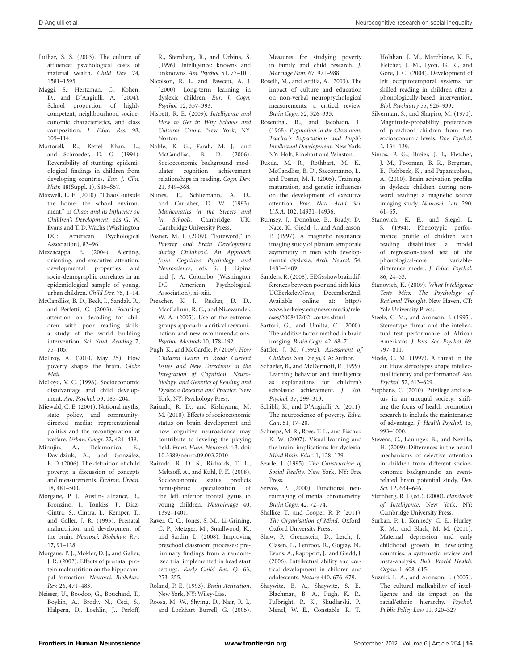- <span id="page-15-27"></span>Luthar, S. S. (2003). The culture of affluence: psychological costs of material wealth. *Child Dev.* 74, 1581–1593.
- <span id="page-15-36"></span>Maggi, S., Hertzman, C., Kohen, D., and D'Angiulli, A. (2004). School proportion of highly competent, neighbourhood socioeconomic characteristics, and class composition. *J. Educ. Res.* 98, 109–114.
- <span id="page-15-50"></span>Martorell, R., Kettel Khan, L., and Schroeder, D. G. (1994). Reversibility of stunting: epidemiological findings in children from developing countries. *Eur. J. Clin. Nutr.* 48(Suppl. 1), S45–S57.
- <span id="page-15-17"></span>Maxwell, L. E. (2010). "Chaos outside the home: the school environment," in *Chaos and its Influence on Children's Development,* eds G. W. Evans and T. D. Wachs (Washington DC: American Psychological Association), 83–96.
- <span id="page-15-19"></span>Mezzacappa, E. (2004). Alerting, orienting, and executive attention: developmental properties and socio-demographic correlates in an epidemiological sample of young, urban children. *Child Dev.* 75, 1–14.
- <span id="page-15-29"></span>McCandliss, B. D., Beck, I., Sandak, R., and Perfetti, C. (2003). Focusing attention on decoding for children with poor reading skills: a study of the world building intervention. *Sci. Stud. Reading* 7, 75–105.
- <span id="page-15-33"></span>McIlroy, A. (2010, May 25). How poverty shapes the brain. *Globe Mail*.
- <span id="page-15-8"></span>McLoyd, V. C. (1998). Socioeconomic disadvantage and child development. *Am. Psychol.* 53, 185–204.
- <span id="page-15-32"></span>Miewald, C. E. (2001). National myths, state policy, and communitydirected media: representational politics and the reconfigeration of welfare. *Urban. Geogr.* 22, 424–439.
- <span id="page-15-4"></span>Minujin, A., Delamonica, E., Davidziuk, A., and González, E. D. (2006). The definition of child poverty: a discussion of concepts and measurements. *Environ. Urban.* 18, 481–500.
- <span id="page-15-47"></span>Morgane, P. J., Austin-LaFrance, R., Bronzino, J., Tonkiss, J., Díaz-Cintra, S., Cintra, L., Kemper, T., and Galler, J. R. (1993). Prenatal malnutrition and development of the brain. *Neurosci. Biobehav. Rev.* 17, 91–128.
- <span id="page-15-48"></span>Morgane, P. J., Mokler, D. J., and Galler, J. R. (2002). Effects of prenatal protein malnutrition on the hippocampal formation. *Neurosci. Biobehav. Rev.* 26, 471–483.
- <span id="page-15-12"></span>Neisser, U., Boodoo, G., Bouchard, T., Boykin, A., Brody, N., Ceci, S., Halpern, D., Loehlin, J., Perloff,

R., Sternberg, R., and Urbina, S. (1996). Intelligence: knowns and unknowns. *Am. Psychol.* 51, 77–101.

- <span id="page-15-40"></span>Nicolson, R. I., and Fawcett, A. J. (2000). Long-term learning in dyslexic children. *Eur. J. Cogn. Psychol.* 12, 357–393.
- <span id="page-15-9"></span>Nisbett, R. E. (2009). *Intelligence and How to Get it: Why Schools and Cultures Count*. New York, NY: Norton.
- <span id="page-15-25"></span>Noble, K. G., Farah, M. J., and McCandliss, B. D. (2006). Socioeconomic background modulates cognition achievement relationships in reading. *Cogn. Dev.* 21, 349–368.
- <span id="page-15-44"></span>Nunes, T., Schliemann, A. D., and Carraher, D. W. (1993). *Mathematics in the Streets and in Schools*. Cambridge, UK: Cambridge University Press.
- <span id="page-15-1"></span>Posner, M. I. (2009). "Foreword," in *Poverty and Brain Development during Childhood. An Approach from Cognitive Psychology and Neuroscience,* eds S. J. Lipina and J. A. Colombo (Washington DC: American Psychological Association), xi–xiii.
- <span id="page-15-7"></span>Preacher, K. J., Rucker, D. D., MacCallum, R. C., and Nicewander, W. A. (2005). Use of the extreme groups approach: a critical reexamination and new recommendations. *Psychol. Methods* 10, 178–192.
- <span id="page-15-38"></span>Pugh, K., and McCardle, P. (2009). *How Children Learn to Read: Current Issues and New Directions in the Integration of Cognition, Neurobiology, and Genetics of Reading and Dyslexia Research and Practice.* New York, NY: Psychology Press.
- <span id="page-15-2"></span>Raizada, R. D., and Kishiyama, M. M. (2010). Effects of socioeconomic status on brain development and how cognitive neuroscience may contribute to leveling the playing field. *Front. Hum. Neurosci.* 4:3. doi: 10.3389/neuro.09.003.2010
- <span id="page-15-26"></span>Raizada, R. D. S., Richards, T. L., Meltzoff, A., and Kuhl, P. K. (2008). Socioeconomic status predicts hemispheric specialization of the left inferior frontal gyrus in young children. *Neuroimage* 40, 1392–1401.
- <span id="page-15-31"></span>Raver, C. C., Jones, S. M., Li-Grining, C. P., Metzger, M., Smallwood, K., and Sardin, L. (2008). Improving preschool classroom processes: preliminary findings from a randomized trial implemented in head start settings. *Early Child Res. Q.* 63, 253–255.
- <span id="page-15-22"></span>Roland, P. E. (1993). *Brain Activation*. New York, NY: Wiley-Liss.
- <span id="page-15-6"></span>Roosa, M. W., Shying, D., Nair, R. l., and Lockhart Burrell, G. (2005).

Measures for studying poverty in family and child research. *J. Marriage Fam.* 67, 971–988.

- <span id="page-15-20"></span>Roselli, M., and Ardila, A. (2003). The impact of culture and education on non-verbal neuropsychological measurements: a critical review. *Brain Cogn.* 52, 326–333.
- <span id="page-15-45"></span>Rosenthal, R., and Jacobson, L. (1968). *Pygmalion in the Classroom: Teacher's Expectations and Pupil's Intellectual Development*. New York, NY: Holt, Rinehart and Winston.
- <span id="page-15-28"></span>Rueda, M. R., Rothbart, M. K., McCandliss, B. D., Saccomanno, L., and Posner, M. I. (2005). Training, maturation, and genetic influences on the development of executive attention. *Proc. Natl. Acad. Sci. U.S.A.* 102, 14931–14936.
- <span id="page-15-43"></span>Rumsey, J., Donohue, B., Brady, D., Nace, K., Giedd, J., and Andreason, P. (1997). A magnetic resonance imaging study of planum temporale asymmetry in men with developmental dyslexia. *Arch. Neurol.* 54, 1481–1489.
- <span id="page-15-3"></span>Sanders, R. (2008). EEGsshowbraindifferences between poor and rich kids. UCBerkeleyNews, December2nd. Available online at: http:// www.berkeley.edu/news/media/rele ases/2008/12/02\_cortex.shtml
- <span id="page-15-23"></span>Sartori, G., and Umilta, C. (2000). The additive factor method in brain imaging. *Brain Cogn.* 42, 68–71.
- <span id="page-15-11"></span>Sattler, J. M. (1992). *Assessment of Children*. San Diego, CA: Author.
- <span id="page-15-16"></span>Schaefer, B., and McDermott, P. (1999). Learning behavior and intelligence as explanations for children's scholastic achievement. *J. Sch. Psychol.* 37, 299–313.
- <span id="page-15-35"></span>Schibli, K., and D'Angiulli, A. (2011). The neuroscience of poverty. *Educ. Can.* 51, 17–20.
- <span id="page-15-41"></span>Schneps, M. R., Rose, T. L., and Fischer, K. W. (2007). Visual learning and the brain: implications for dyslexia. *Mind Brain Educ.* 1, 128–129.
- <span id="page-15-49"></span>Searle, J. (1995). *The Construction of Social Reality*. New York, NY: Free Press.
- <span id="page-15-24"></span>Servos, P. (2000). Functional neuroimaging of mental chronometry. *Brain Cogn.* 42, 72–74.
- <span id="page-15-37"></span>Shallice, T., and Cooper, R. P. (2011). *The Organisation of Mind*. Oxford: Oxford University Press.
- <span id="page-15-0"></span>Shaw, P., Greenstein, D., Lerch, J., Clasen, L., Lenroot, R., Gogtay, N., Evans, A., Rapoport, J., and Giedd, J. (2006). Intellectual ability and cortical development in children and adolescents. *Nature* 440, 676–679.
- <span id="page-15-30"></span>Shaywitz, B. A., Shaywitz, S. E., Blachman, B. A., Pugh, K. R., Fulbright, R. K., Skudlarski, P., Mencl, W. E., Constable, R. T.,

Holahan, J. M., Marchione, K. E., Fletcher, J. M., Lyon, G. R., and Gore, J. C. (2004). Development of left occipitotemporal systems for skilled reading in children after a phonologically-based intervention. *Biol. Psychiatry* 55, 926–933.

- <span id="page-15-18"></span>Silverman, S., and Shapiro, M. (1970). Magnitude-probability preferences of preschool children from two socioeconomic levels. *Dev. Psychol.* 2, 134–139.
- <span id="page-15-42"></span>Simos, P. G., Breier, J. I., Fletcher, J. M., Foorman, B. R., Bergman, E., Fishbeck, K., and Papanicolaou, A. (2000). Brain activation profiles in dyslexic children during nonword reading: a magnetic source imaging study. *Neurosci. Lett.* 290, 61–65.
- <span id="page-15-39"></span>Stanovich, K. E., and Siegel, L. S. (1994). Phenotypic performance profile of children with reading disabilities: a model of regression-based test of the phonological-core variabledifference model. *J. Educ. Psychol.* 86, 24–53.
- <span id="page-15-10"></span>Stanovich, K. (2009). *What Intelligence Tests Miss: The Psychology of Rational Thought*. New Haven, CT: Yale University Press.
- <span id="page-15-14"></span>Steele, C. M., and Aronson, J. (1995). Stereotype threat and the intellectual test performance of African Americans. *J. Pers. Soc. Psychol.* 69, 797–811.
- <span id="page-15-15"></span>Steele, C. M. (1997). A threat in the air. How stereotypes shape intellectual identity and performance? *Am. Psychol.* 52, 613–629.
- <span id="page-15-46"></span>Stephens, C. (2010). Privilege and status in an unequal society: shifting the focus of health promotion research to include the maintenance of advantage. *J. Health Psychol.* 15, 993–1000.
- <span id="page-15-21"></span>Stevens, C., Lauinger, B., and Neville, H. (2009). Differences in the neural mechanisms of selective attention in children from different socioeconomic backgrounds: an eventrelated brain potential study. *Dev. Sci.* 12, 634–646.
- <span id="page-15-34"></span>Sternberg, R. J. (ed.). (2000). *Handbook of Intelligence*. New York, NY: Cambridge University Press.
- <span id="page-15-5"></span>Surkan, P. J., Kennedy, C. E., Hurley, K. M., and Black, M. M. (2011). Maternal depression and early childhood growth in developing countries: a systematic review and meta-analysis. *Bull. World Health. Organ.* 1, 608–615.
- <span id="page-15-13"></span>Suzuki, L. A., and Aronson, J. (2005). The cultural malleability of intelligence and its impact on the racial/ethnic hierarchy. *Psychol. Public Policy Law* 11, 320–327.